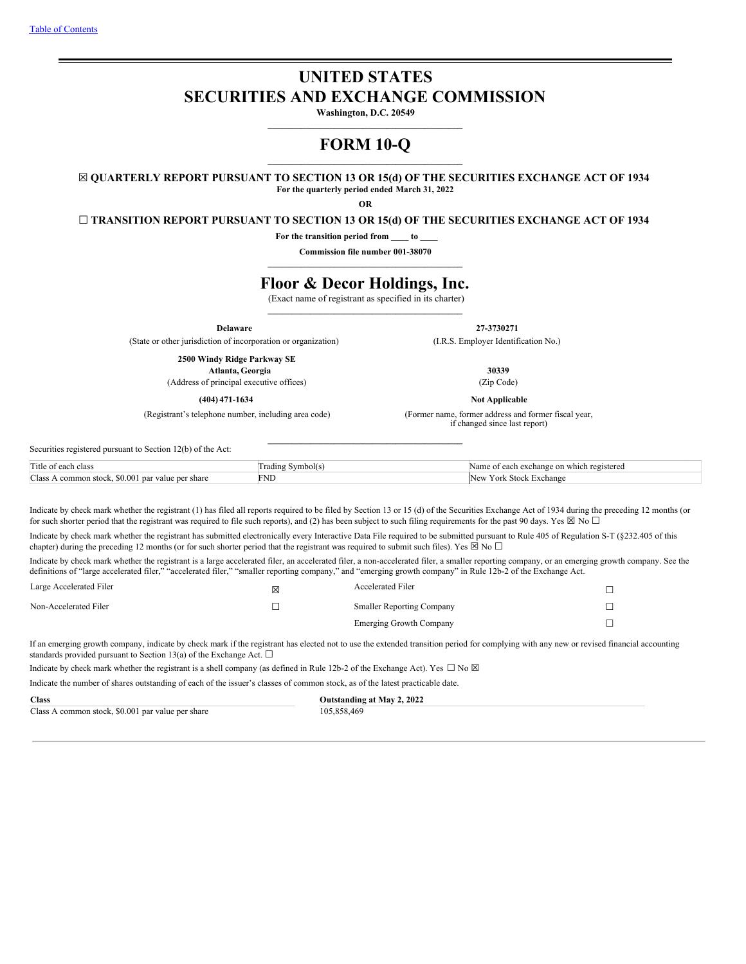# **UNITED STATES SECURITIES AND EXCHANGE COMMISSION**

**Washington, D.C. 20549**  $\mathcal{L} = \{ \mathcal{L} \}$ 

# **FORM 10-Q**  $\mathcal{L} = \{ \mathcal{L} \}$

☒ **QUARTERLY REPORT PURSUANT TO SECTION 13 OR 15(d) OF THE SECURITIES EXCHANGE ACT OF 1934 For the quarterly period ended March 31, 2022**

**OR**

☐ **TRANSITION REPORT PURSUANT TO SECTION 13 OR 15(d) OF THE SECURITIES EXCHANGE ACT OF 1934**

**For the transition period from \_\_\_\_ to \_\_\_\_**

**Commission file number 001-38070**  $\mathcal{L} = \{ \mathcal{L} \}$ 

# **Floor & Decor Holdings, Inc.**

(Exact name of registrant as specified in its charter)  $\mathcal{L} = \{ \mathcal{L} \}$ 

**Delaware 27-3730271**

(State or other jurisdiction of incorporation or organization) (I.R.S. Employer Identification No.)

**2500 Windy Ridge Parkway SE Atlanta, Georgia 30339**

(Address of principal executive offices) (Zip Code)

(Registrant's telephone number, including area code) (Former name, former address and former fiscal year,

**(404)471-1634 Not Applicable**

if changed since last report)

Securities registered pursuant to Section 12(b) of the Act:

| letters.<br>Fitle<br>clas<br>01                                        | Symbol(s.<br>. adınc | $\alpha$ n wh<br>registered<br>Name.<br>. each exchange<br>$\cdots$ |
|------------------------------------------------------------------------|----------------------|---------------------------------------------------------------------|
| \$0.00<br>Joseph C<br>las<br>value<br>per share<br>nai<br>⊧stock.<br>. | 'NI<br>ாட            | $\alpha$ change<br>- New<br>Y orl                                   |

 $\mathcal{L} = \{ \mathcal{L} \}$ 

Indicate by check mark whether the registrant (1) has filed all reports required to be filed by Section 13 or 15 (d) of the Securities Exchange Act of 1934 during the preceding 12 months (or for such shorter period that the registrant was required to file such reports), and (2) has been subject to such filing requirements for the past 90 days. Yes  $\boxtimes$  No  $\Box$ 

Indicate by check mark whether the registrant has submitted electronically every Interactive Data File required to be submitted pursuant to Rule 405 of Regulation S-T (§232.405 of this chapter) during the preceding 12 months (or for such shorter period that the registrant was required to submit such files). Yes  $\boxtimes$  No  $\Box$ 

Indicate by check mark whether the registrant is a large accelerated filer, an accelerated filer, a non-accelerated filer, a smaller reporting company, or an emerging growth company. See the definitions of "large accelerated filer," "accelerated filer," "smaller reporting company," and "emerging growth company" in Rule 12b-2 of the Exchange Act.

| Large Accelerated Filer | ⊠ | <b>Accelerated Filer</b>         |  |
|-------------------------|---|----------------------------------|--|
| Non-Accelerated Filer   |   | <b>Smaller Reporting Company</b> |  |
|                         |   | Emerging Growth Company          |  |

If an emerging growth company, indicate by check mark if the registrant has elected not to use the extended transition period for complying with any new or revised financial accounting standards provided pursuant to Section 13(a) of the Exchange Act.  $\Box$ 

Indicate by check mark whether the registrant is a shell company (as defined in Rule 12b-2 of the Exchange Act). Yes  $\Box$  No  $\boxtimes$ 

Indicate the number of shares outstanding of each of the issuer's classes of common stock, as of the latest practicable date.

<span id="page-0-0"></span>Class A common stock, \$0.001 par value per share 105,858,469

**Class Outstanding at May 2, 2022**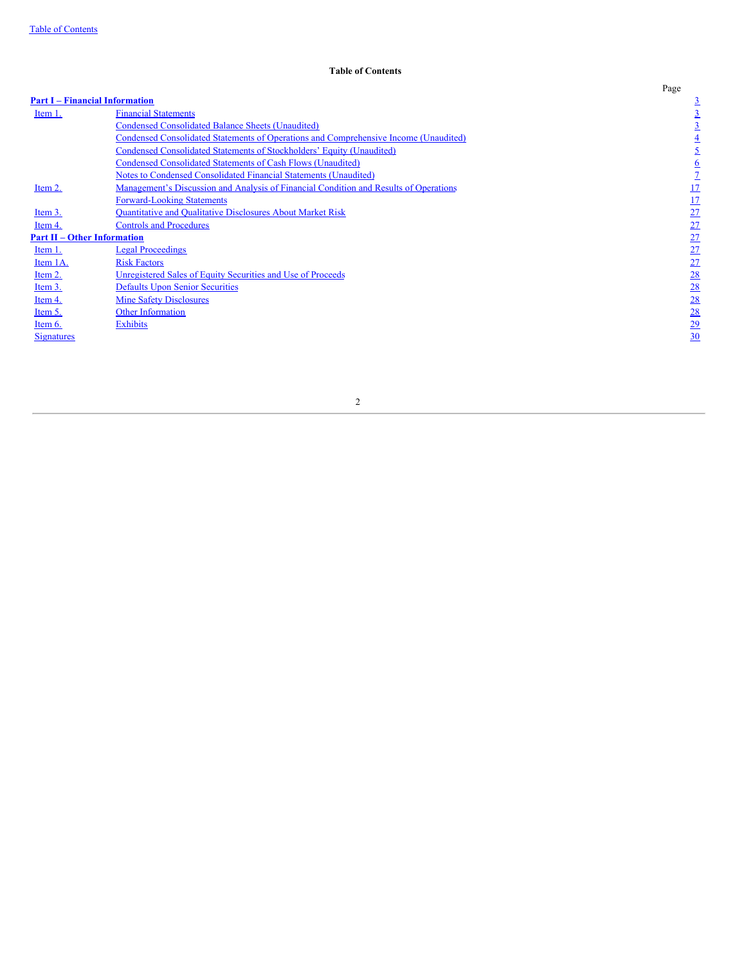# **Table of Contents**

<span id="page-1-0"></span>

|            |                                                                                       | Page            |
|------------|---------------------------------------------------------------------------------------|-----------------|
|            | <b>Part I - Financial Information</b>                                                 |                 |
| Item 1.    | <b>Financial Statements</b>                                                           |                 |
|            | <b>Condensed Consolidated Balance Sheets (Unaudited)</b>                              |                 |
|            | Condensed Consolidated Statements of Operations and Comprehensive Income (Unaudited)  |                 |
|            | Condensed Consolidated Statements of Stockholders' Equity (Unaudited)                 |                 |
|            | <b>Condensed Consolidated Statements of Cash Flows (Unaudited)</b>                    | 6               |
|            | Notes to Condensed Consolidated Financial Statements (Unaudited)                      |                 |
| Item 2.    | Management's Discussion and Analysis of Financial Condition and Results of Operations |                 |
|            | <b>Forward-Looking Statements</b>                                                     | <u> 17</u>      |
| Item 3.    | <b>Quantitative and Qualitative Disclosures About Market Risk</b>                     | 27              |
| Item 4.    | <b>Controls and Procedures</b>                                                        | 27              |
|            | <b>Part II - Other Information</b>                                                    | 27              |
| Item 1.    | <b>Legal Proceedings</b>                                                              | 27              |
| Item 1A.   | <b>Risk Factors</b>                                                                   | 27              |
| Item 2.    | Unregistered Sales of Equity Securities and Use of Proceeds                           | 28              |
| Item 3.    | <b>Defaults Upon Senior Securities</b>                                                | 28              |
| Item 4.    | <b>Mine Safety Disclosures</b>                                                        | 28              |
| Item 5.    | <b>Other Information</b>                                                              | 28              |
| Item 6.    | <b>Exhibits</b>                                                                       | $\overline{29}$ |
| Signatures |                                                                                       | 30              |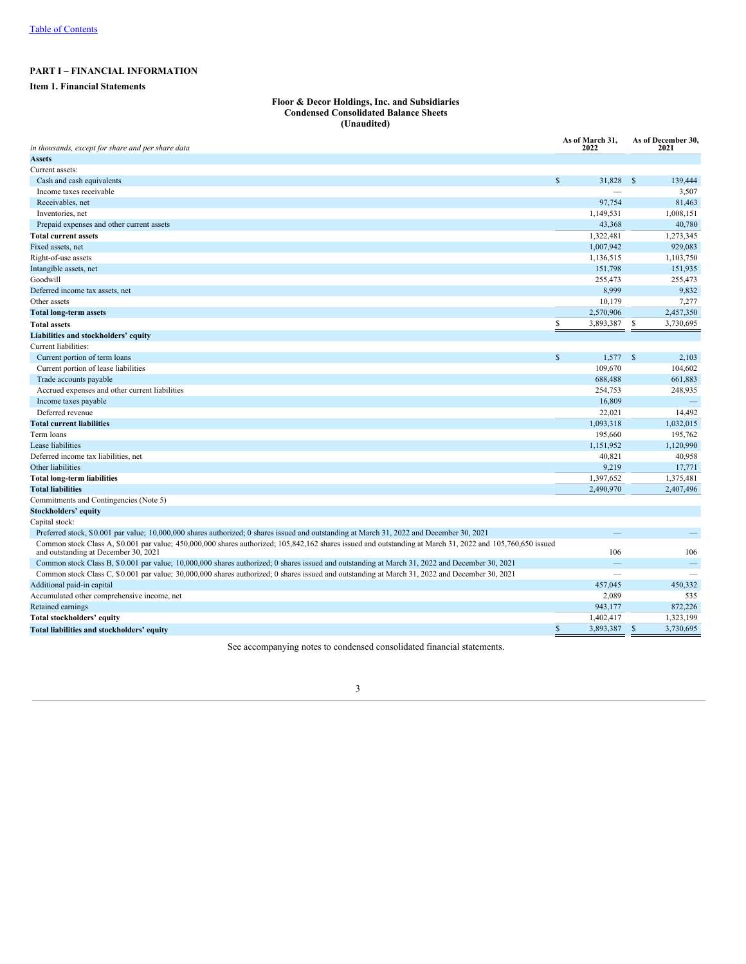# **PART I – FINANCIAL INFORMATION**

# <span id="page-2-1"></span><span id="page-2-0"></span>**Item 1. Financial Statements**

# **Floor & Decor Holdings, Inc. and Subsidiaries Condensed Consolidated Balance Sheets (Unaudited)**

| in thousands, except for share and per share data                                                                                                                                                  | As of March 31,<br>2022 |                          | As of December 30,<br>2021 |           |  |
|----------------------------------------------------------------------------------------------------------------------------------------------------------------------------------------------------|-------------------------|--------------------------|----------------------------|-----------|--|
| Assets                                                                                                                                                                                             |                         |                          |                            |           |  |
| Current assets:                                                                                                                                                                                    |                         |                          |                            |           |  |
| Cash and cash equivalents                                                                                                                                                                          | $\mathbb{S}$            | 31.828                   | <sup>\$</sup>              | 139,444   |  |
| Income taxes receivable                                                                                                                                                                            |                         |                          |                            | 3,507     |  |
| Receivables, net                                                                                                                                                                                   |                         | 97,754                   |                            | 81,463    |  |
| Inventories, net                                                                                                                                                                                   |                         | 1,149,531                |                            | 1,008,151 |  |
| Prepaid expenses and other current assets                                                                                                                                                          |                         | 43,368                   |                            | 40,780    |  |
| <b>Total current assets</b>                                                                                                                                                                        |                         | 1,322,481                |                            | 1,273,345 |  |
| Fixed assets, net                                                                                                                                                                                  |                         | 1,007,942                |                            | 929,083   |  |
| Right-of-use assets                                                                                                                                                                                |                         | 1,136,515                |                            | 1,103,750 |  |
| Intangible assets, net                                                                                                                                                                             |                         | 151,798                  |                            | 151,935   |  |
| Goodwill                                                                                                                                                                                           |                         | 255,473                  |                            | 255,473   |  |
| Deferred income tax assets, net                                                                                                                                                                    |                         | 8,999                    |                            | 9,832     |  |
| Other assets                                                                                                                                                                                       |                         | 10,179                   |                            | 7,277     |  |
| <b>Total long-term assets</b>                                                                                                                                                                      |                         | 2,570,906                |                            | 2,457,350 |  |
| <b>Total assets</b>                                                                                                                                                                                | S                       | 3,893,387                | \$                         | 3,730,695 |  |
| Liabilities and stockholders' equity                                                                                                                                                               |                         |                          |                            |           |  |
| Current liabilities:                                                                                                                                                                               |                         |                          |                            |           |  |
| Current portion of term loans                                                                                                                                                                      | $\mathbf{s}$            | 1,577                    | <sup>\$</sup>              | 2,103     |  |
| Current portion of lease liabilities                                                                                                                                                               |                         | 109,670                  |                            | 104,602   |  |
| Trade accounts payable                                                                                                                                                                             |                         | 688,488                  |                            | 661,883   |  |
| Accrued expenses and other current liabilities                                                                                                                                                     |                         | 254,753                  |                            | 248,935   |  |
| Income taxes payable                                                                                                                                                                               |                         | 16,809                   |                            |           |  |
| Deferred revenue                                                                                                                                                                                   |                         | 22,021                   |                            | 14,492    |  |
| <b>Total current liabilities</b>                                                                                                                                                                   |                         | 1,093,318                |                            | 1,032,015 |  |
| Term loans                                                                                                                                                                                         |                         | 195,660                  |                            | 195,762   |  |
| Lease liabilities                                                                                                                                                                                  |                         | 1,151,952                |                            | 1,120,990 |  |
| Deferred income tax liabilities, net                                                                                                                                                               |                         | 40,821                   |                            | 40,958    |  |
| Other liabilities                                                                                                                                                                                  |                         | 9,219                    |                            | 17,771    |  |
| <b>Total long-term liabilities</b>                                                                                                                                                                 |                         | 1,397,652                |                            | 1,375,481 |  |
| <b>Total liabilities</b>                                                                                                                                                                           |                         | 2,490,970                |                            | 2,407,496 |  |
| Commitments and Contingencies (Note 5)                                                                                                                                                             |                         |                          |                            |           |  |
| <b>Stockholders' equity</b>                                                                                                                                                                        |                         |                          |                            |           |  |
| Capital stock:                                                                                                                                                                                     |                         |                          |                            |           |  |
| Preferred stock, \$0.001 par value; 10,000,000 shares authorized; 0 shares issued and outstanding at March 31, 2022 and December 30, 2021                                                          |                         |                          |                            |           |  |
| Common stock Class A, \$0,001 par value; 450,000,000 shares authorized; 105,842,162 shares issued and outstanding at March 31, 2022 and 105,760,650 issued<br>and outstanding at December 30, 2021 |                         | 106                      |                            | 106       |  |
| Common stock Class B, \$0.001 par value; 10,000,000 shares authorized; 0 shares issued and outstanding at March 31, 2022 and December 30, 2021                                                     |                         |                          |                            |           |  |
| Common stock Class C, \$0.001 par value; 30,000,000 shares authorized; 0 shares issued and outstanding at March 31, 2022 and December 30, 2021                                                     |                         | $\overline{\phantom{a}}$ |                            |           |  |
| Additional paid-in capital                                                                                                                                                                         |                         | 457,045                  |                            | 450,332   |  |
| Accumulated other comprehensive income, net                                                                                                                                                        |                         | 2,089                    |                            | 535       |  |
| Retained earnings                                                                                                                                                                                  |                         | 943,177                  |                            | 872,226   |  |
| Total stockholders' equity                                                                                                                                                                         |                         | 1.402.417                |                            | 1.323.199 |  |
| Total liabilities and stockholders' equity                                                                                                                                                         | $\mathsf{s}$            | 3,893,387 \$             |                            | 3,730,695 |  |

<span id="page-2-2"></span>See accompanying notes to condensed consolidated financial statements.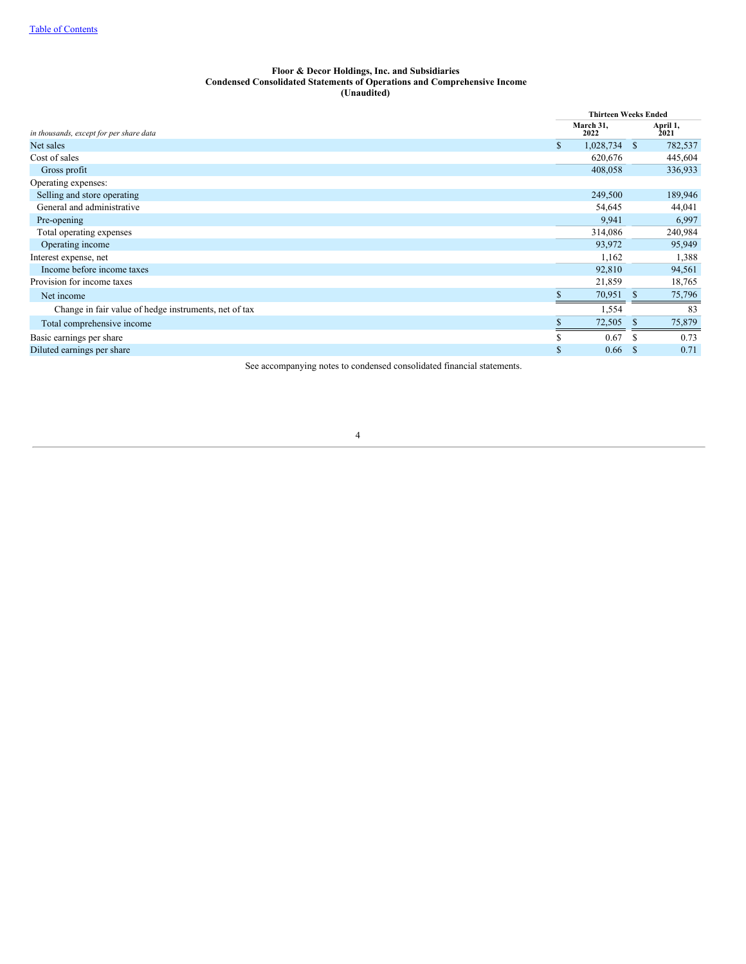### **Floor & Decor Holdings, Inc. and Subsidiaries Condensed Consolidated Statements of Operations and Comprehensive Income (Unaudited)**

|                                                       | <b>Thirteen Weeks Ended</b> |                   |               |                  |
|-------------------------------------------------------|-----------------------------|-------------------|---------------|------------------|
| in thousands, except for per share data               |                             | March 31,<br>2022 |               | April 1,<br>2021 |
| Net sales                                             | $\mathbb{S}$                | 1,028,734         | -S            | 782,537          |
| Cost of sales                                         |                             | 620,676           |               | 445,604          |
| Gross profit                                          |                             | 408,058           |               | 336,933          |
| Operating expenses:                                   |                             |                   |               |                  |
| Selling and store operating                           |                             | 249,500           |               | 189,946          |
| General and administrative                            |                             | 54,645            |               | 44,041           |
| Pre-opening                                           |                             | 9,941             |               | 6,997            |
| Total operating expenses                              |                             | 314,086           |               | 240,984          |
| Operating income                                      |                             | 93,972            |               | 95,949           |
| Interest expense, net                                 |                             | 1,162             |               | 1,388            |
| Income before income taxes                            |                             | 92,810            |               | 94,561           |
| Provision for income taxes                            |                             | 21,859            |               | 18,765           |
| Net income                                            |                             | 70,951            | \$            | 75,796           |
| Change in fair value of hedge instruments, net of tax |                             | 1,554             |               | 83               |
| Total comprehensive income                            |                             | 72,505            | \$.           | 75,879           |
| Basic earnings per share                              |                             | 0.67              | \$.           | 0.73             |
| Diluted earnings per share                            | \$                          | 0.66              | <sup>\$</sup> | 0.71             |

<span id="page-3-0"></span>See accompanying notes to condensed consolidated financial statements.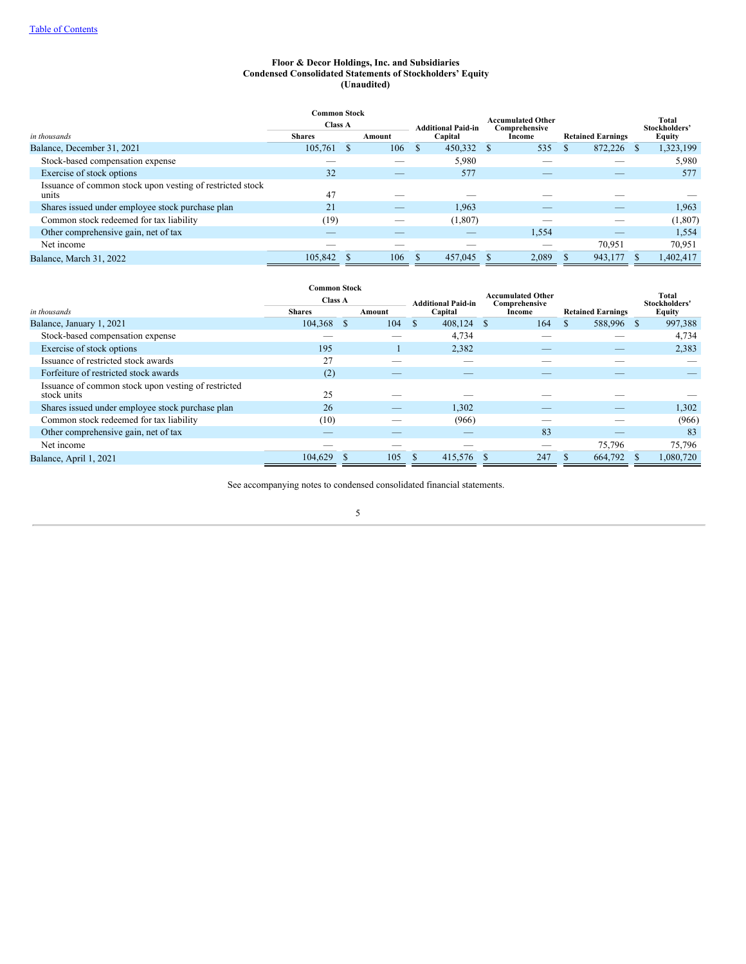# **Floor & Decor Holdings, Inc. and Subsidiaries Condensed Consolidated Statements of Stockholders' Equity (Unaudited)**

|                                                                    | <b>Common Stock</b> |        |                          |                                           |                          |                        |
|--------------------------------------------------------------------|---------------------|--------|--------------------------|-------------------------------------------|--------------------------|------------------------|
|                                                                    | <b>Class A</b>      |        | Additional Paid-in       | <b>Accumulated Other</b><br>Comprehensive |                          | Total<br>Stockholders' |
| in thousands                                                       | <b>Shares</b>       | Amount | Capital                  | Income                                    | <b>Retained Earnings</b> | <b>Equity</b>          |
| Balance, December 31, 2021                                         | 105,761             | 106    | 450,332<br><sup>\$</sup> | 535                                       | 872,226                  | 1,323,199              |
| Stock-based compensation expense                                   |                     |        | 5,980                    |                                           |                          | 5,980                  |
| Exercise of stock options                                          | 32                  |        | 577                      |                                           |                          | 577                    |
| Issuance of common stock upon vesting of restricted stock<br>units | 47                  |        |                          |                                           |                          |                        |
| Shares issued under employee stock purchase plan                   | 21                  | $-$    | 1,963                    |                                           |                          | 1,963                  |
| Common stock redeemed for tax liability                            | (19)                |        | (1,807)                  |                                           |                          | (1,807)                |
| Other comprehensive gain, net of tax                               |                     |        |                          | 1,554                                     |                          | 1,554                  |
| Net income                                                         |                     |        |                          |                                           | 70.951                   | 70,951                 |
| Balance, March 31, 2022                                            | 105.842             | 106    | 457,045                  | 2,089                                     | 943,177                  | 1,402,417              |

|                                                                    | <b>Common Stock</b><br>Class A |        | Additional Paid-in | <b>Accumulated Other</b><br>Comprehensive |                          |      | Total<br>Stockholders' |
|--------------------------------------------------------------------|--------------------------------|--------|--------------------|-------------------------------------------|--------------------------|------|------------------------|
| in thousands                                                       | <b>Shares</b>                  | Amount | Capital            | Income                                    | <b>Retained Earnings</b> |      | <b>Equity</b>          |
| Balance, January 1, 2021                                           | 104.368                        | 104    | 408,124 \$         | 164                                       | 588,996                  | - \$ | 997,388                |
| Stock-based compensation expense                                   |                                |        | 4,734              |                                           |                          |      | 4,734                  |
| Exercise of stock options                                          | 195                            |        | 2,382              |                                           |                          |      | 2,383                  |
| Issuance of restricted stock awards                                | 27                             |        |                    |                                           |                          |      |                        |
| Forfeiture of restricted stock awards                              | (2)                            |        |                    |                                           |                          |      |                        |
| Issuance of common stock upon vesting of restricted<br>stock units | 25                             |        |                    |                                           |                          |      |                        |
| Shares issued under employee stock purchase plan                   | 26                             |        | 1,302              |                                           |                          |      | 1,302                  |
| Common stock redeemed for tax liability                            | (10)                           |        | (966)              |                                           |                          |      | (966)                  |
| Other comprehensive gain, net of tax                               |                                |        |                    | 83                                        | _                        |      | 83                     |
| Net income                                                         |                                |        |                    |                                           | 75,796                   |      | 75,796                 |
| Balance, April 1, 2021                                             | 104,629                        | 105    | 415,576            | 247                                       | 664,792                  |      | 1,080,720              |

<span id="page-4-0"></span>See accompanying notes to condensed consolidated financial statements.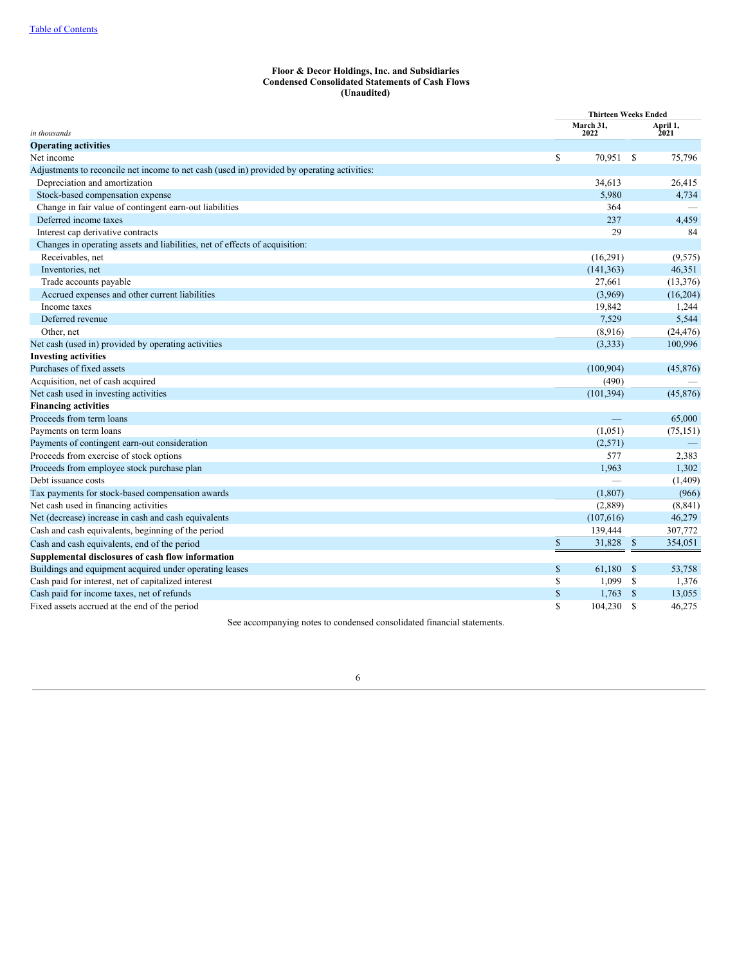### **Floor & Decor Holdings, Inc. and Subsidiaries Condensed Consolidated Statements of Cash Flows (Unaudited)**

| March 31,<br>April 1,<br>in thousands<br>2022<br>2021<br><b>Operating activities</b><br>Net income<br>$\mathbf S$<br>70,951<br>-S<br>75,796<br>Adjustments to reconcile net income to net cash (used in) provided by operating activities:<br>Depreciation and amortization<br>34,613<br>26,415<br>Stock-based compensation expense<br>5.980<br>4.734<br>Change in fair value of contingent earn-out liabilities<br>364<br>Deferred income taxes<br>237<br>4,459<br>Interest cap derivative contracts<br>29<br>84<br>Changes in operating assets and liabilities, net of effects of acquisition:<br>Receivables, net<br>(16,291)<br>(9, 575)<br>Inventories, net<br>(141, 363)<br>46,351<br>Trade accounts payable<br>27,661<br>(13, 376) |                                                | <b>Thirteen Weeks Ended</b> |         |  |          |  |  |
|-------------------------------------------------------------------------------------------------------------------------------------------------------------------------------------------------------------------------------------------------------------------------------------------------------------------------------------------------------------------------------------------------------------------------------------------------------------------------------------------------------------------------------------------------------------------------------------------------------------------------------------------------------------------------------------------------------------------------------------------|------------------------------------------------|-----------------------------|---------|--|----------|--|--|
|                                                                                                                                                                                                                                                                                                                                                                                                                                                                                                                                                                                                                                                                                                                                           |                                                |                             |         |  |          |  |  |
|                                                                                                                                                                                                                                                                                                                                                                                                                                                                                                                                                                                                                                                                                                                                           |                                                |                             |         |  |          |  |  |
|                                                                                                                                                                                                                                                                                                                                                                                                                                                                                                                                                                                                                                                                                                                                           |                                                |                             |         |  |          |  |  |
|                                                                                                                                                                                                                                                                                                                                                                                                                                                                                                                                                                                                                                                                                                                                           |                                                |                             |         |  |          |  |  |
|                                                                                                                                                                                                                                                                                                                                                                                                                                                                                                                                                                                                                                                                                                                                           |                                                |                             |         |  |          |  |  |
|                                                                                                                                                                                                                                                                                                                                                                                                                                                                                                                                                                                                                                                                                                                                           |                                                |                             |         |  |          |  |  |
|                                                                                                                                                                                                                                                                                                                                                                                                                                                                                                                                                                                                                                                                                                                                           |                                                |                             |         |  |          |  |  |
|                                                                                                                                                                                                                                                                                                                                                                                                                                                                                                                                                                                                                                                                                                                                           |                                                |                             |         |  |          |  |  |
|                                                                                                                                                                                                                                                                                                                                                                                                                                                                                                                                                                                                                                                                                                                                           |                                                |                             |         |  |          |  |  |
|                                                                                                                                                                                                                                                                                                                                                                                                                                                                                                                                                                                                                                                                                                                                           |                                                |                             |         |  |          |  |  |
|                                                                                                                                                                                                                                                                                                                                                                                                                                                                                                                                                                                                                                                                                                                                           |                                                |                             |         |  |          |  |  |
|                                                                                                                                                                                                                                                                                                                                                                                                                                                                                                                                                                                                                                                                                                                                           |                                                |                             |         |  |          |  |  |
|                                                                                                                                                                                                                                                                                                                                                                                                                                                                                                                                                                                                                                                                                                                                           |                                                |                             |         |  |          |  |  |
|                                                                                                                                                                                                                                                                                                                                                                                                                                                                                                                                                                                                                                                                                                                                           | Accrued expenses and other current liabilities |                             | (3,969) |  | (16,204) |  |  |
| Income taxes<br>19,842<br>1,244                                                                                                                                                                                                                                                                                                                                                                                                                                                                                                                                                                                                                                                                                                           |                                                |                             |         |  |          |  |  |
| Deferred revenue<br>7,529<br>5,544                                                                                                                                                                                                                                                                                                                                                                                                                                                                                                                                                                                                                                                                                                        |                                                |                             |         |  |          |  |  |
| (8,916)<br>Other, net<br>(24, 476)                                                                                                                                                                                                                                                                                                                                                                                                                                                                                                                                                                                                                                                                                                        |                                                |                             |         |  |          |  |  |
| Net cash (used in) provided by operating activities<br>(3, 333)<br>100,996                                                                                                                                                                                                                                                                                                                                                                                                                                                                                                                                                                                                                                                                |                                                |                             |         |  |          |  |  |
| <b>Investing activities</b>                                                                                                                                                                                                                                                                                                                                                                                                                                                                                                                                                                                                                                                                                                               |                                                |                             |         |  |          |  |  |
| Purchases of fixed assets<br>(100, 904)<br>(45, 876)                                                                                                                                                                                                                                                                                                                                                                                                                                                                                                                                                                                                                                                                                      |                                                |                             |         |  |          |  |  |
| Acquisition, net of cash acquired<br>(490)                                                                                                                                                                                                                                                                                                                                                                                                                                                                                                                                                                                                                                                                                                |                                                |                             |         |  |          |  |  |
| Net cash used in investing activities<br>(101, 394)<br>(45, 876)                                                                                                                                                                                                                                                                                                                                                                                                                                                                                                                                                                                                                                                                          |                                                |                             |         |  |          |  |  |
| <b>Financing activities</b>                                                                                                                                                                                                                                                                                                                                                                                                                                                                                                                                                                                                                                                                                                               |                                                |                             |         |  |          |  |  |
| Proceeds from term loans<br>65,000                                                                                                                                                                                                                                                                                                                                                                                                                                                                                                                                                                                                                                                                                                        |                                                |                             |         |  |          |  |  |
| Payments on term loans<br>(1,051)<br>(75, 151)                                                                                                                                                                                                                                                                                                                                                                                                                                                                                                                                                                                                                                                                                            |                                                |                             |         |  |          |  |  |
| Payments of contingent earn-out consideration<br>(2,571)                                                                                                                                                                                                                                                                                                                                                                                                                                                                                                                                                                                                                                                                                  |                                                |                             |         |  |          |  |  |
| Proceeds from exercise of stock options<br>577<br>2,383                                                                                                                                                                                                                                                                                                                                                                                                                                                                                                                                                                                                                                                                                   |                                                |                             |         |  |          |  |  |
| Proceeds from employee stock purchase plan<br>1.963<br>1,302                                                                                                                                                                                                                                                                                                                                                                                                                                                                                                                                                                                                                                                                              |                                                |                             |         |  |          |  |  |
| Debt issuance costs<br>(1, 409)                                                                                                                                                                                                                                                                                                                                                                                                                                                                                                                                                                                                                                                                                                           |                                                |                             |         |  |          |  |  |
| (1, 807)<br>Tax payments for stock-based compensation awards<br>(966)                                                                                                                                                                                                                                                                                                                                                                                                                                                                                                                                                                                                                                                                     |                                                |                             |         |  |          |  |  |
| Net cash used in financing activities<br>(2,889)<br>(8, 841)                                                                                                                                                                                                                                                                                                                                                                                                                                                                                                                                                                                                                                                                              |                                                |                             |         |  |          |  |  |
| Net (decrease) increase in cash and cash equivalents<br>(107, 616)<br>46,279                                                                                                                                                                                                                                                                                                                                                                                                                                                                                                                                                                                                                                                              |                                                |                             |         |  |          |  |  |
| Cash and cash equivalents, beginning of the period<br>139,444<br>307,772                                                                                                                                                                                                                                                                                                                                                                                                                                                                                                                                                                                                                                                                  |                                                |                             |         |  |          |  |  |
| $\mathbf{s}$<br>\$<br>31,828<br>354,051<br>Cash and cash equivalents, end of the period                                                                                                                                                                                                                                                                                                                                                                                                                                                                                                                                                                                                                                                   |                                                |                             |         |  |          |  |  |
| Supplemental disclosures of cash flow information                                                                                                                                                                                                                                                                                                                                                                                                                                                                                                                                                                                                                                                                                         |                                                |                             |         |  |          |  |  |
| Buildings and equipment acquired under operating leases<br>\$<br>61,180<br>$\mathbb{S}$<br>53,758                                                                                                                                                                                                                                                                                                                                                                                                                                                                                                                                                                                                                                         |                                                |                             |         |  |          |  |  |
| Cash paid for interest, net of capitalized interest<br>\$<br>1,099<br>$\mathbf{s}$<br>1,376                                                                                                                                                                                                                                                                                                                                                                                                                                                                                                                                                                                                                                               |                                                |                             |         |  |          |  |  |
| Cash paid for income taxes, net of refunds<br>\$<br>1,763<br>$\mathbf{s}$<br>13,055                                                                                                                                                                                                                                                                                                                                                                                                                                                                                                                                                                                                                                                       |                                                |                             |         |  |          |  |  |
| \$<br>Fixed assets accrued at the end of the period<br>104,230 \$<br>46,275                                                                                                                                                                                                                                                                                                                                                                                                                                                                                                                                                                                                                                                               |                                                |                             |         |  |          |  |  |

<span id="page-5-0"></span>See accompanying notes to condensed consolidated financial statements.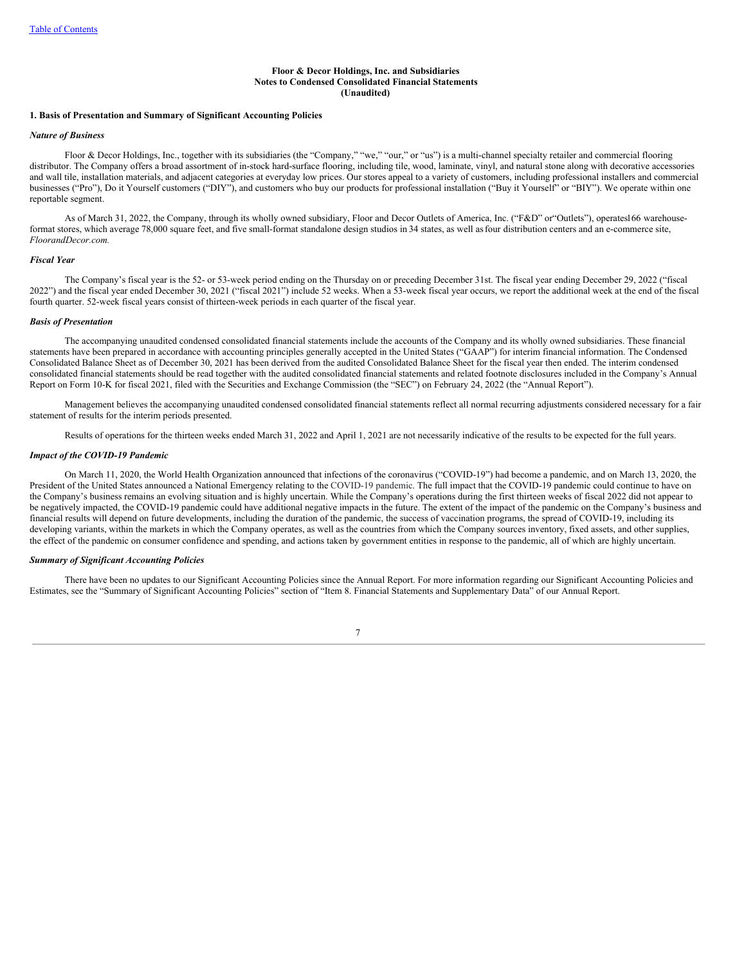### **Floor & Decor Holdings, Inc. and Subsidiaries Notes to Condensed Consolidated Financial Statements (Unaudited)**

# **1. Basis of Presentation and Summary of Significant Accounting Policies**

### *Nature of Business*

Floor & Decor Holdings, Inc., together with its subsidiaries (the "Company," "we," "our," or "us") is a multi-channel specialty retailer and commercial flooring distributor. The Company offers a broad assortment of in-stock hard-surface flooring, including tile, wood, laminate, vinyl, and natural stone along with decorative accessories and wall tile, installation materials, and adjacent categories at everyday low prices. Our stores appeal to a variety of customers, including professional installers and commercial businesses ("Pro"), Do it Yourself customers ("DIY"), and customers who buy our products for professional installation ("Buy it Yourself" or "BIY"). We operate within one reportable segment.

As of March 31, 2022, the Company, through its wholly owned subsidiary, Floor and Decor Outlets of America, Inc. ("F&D" or"Outlets"), operates166 warehouseformat stores, which average 78,000 square feet, and five small-format standalone design studios in 34 states, as well asfour distribution centers and an e-commerce site, *FloorandDecor.com.*

# *Fiscal Year*

The Company's fiscal year is the 52- or 53-week period ending on the Thursday on or preceding December 31st. The fiscal year ending December 29, 2022 ("fiscal 2022") and the fiscal year ended December 30, 2021 ("fiscal 2021") include 52 weeks. When a 53-week fiscal year occurs, we report the additional week at the end of the fiscal fourth quarter. 52-week fiscal years consist of thirteen-week periods in each quarter of the fiscal year.

# *Basis of Presentation*

The accompanying unaudited condensed consolidated financial statements include the accounts of the Company and its wholly owned subsidiaries. These financial statements have been prepared in accordance with accounting principles generally accepted in the United States ("GAAP") for interim financial information. The Condensed Consolidated Balance Sheet as of December 30, 2021 has been derived from the audited Consolidated Balance Sheet for the fiscal year then ended. The interim condensed consolidated financial statements should be read together with the audited consolidated financial statements and related footnote disclosures included in the Company's Annual Report on Form 10-K for fiscal 2021, filed with the Securities and Exchange Commission (the "SEC") on February 24, 2022 (the "Annual Report").

Management believes the accompanying unaudited condensed consolidated financial statements reflect all normal recurring adjustments considered necessary for a fair statement of results for the interim periods presented.

Results of operations for the thirteen weeks ended March 31, 2022 and April 1, 2021 are not necessarily indicative of the results to be expected for the full years.

# *Impact of the COVID-19 Pandemic*

On March 11, 2020, the World Health Organization announced that infections of the coronavirus ("COVID-19") had become a pandemic, and on March 13, 2020, the President of the United States announced a National Emergency relating to the COVID-19 pandemic. The full impact that the COVID-19 pandemic could continue to have on the Company's business remains an evolving situation and is highly uncertain. While the Company's operations during the first thirteen weeks of fiscal 2022 did not appear to be negatively impacted, the COVID-19 pandemic could have additional negative impacts in the future. The extent of the impact of the pandemic on the Company's business and financial results will depend on future developments, including the duration of the pandemic, the success of vaccination programs, the spread of COVID-19, including its developing variants, within the markets in which the Company operates, as well as the countries from which the Company sources inventory, fixed assets, and other supplies, the effect of the pandemic on consumer confidence and spending, and actions taken by government entities in response to the pandemic, all of which are highly uncertain.

# *Summary of Significant Accounting Policies*

There have been no updates to our Significant Accounting Policies since the Annual Report. For more information regarding our Significant Accounting Policies and Estimates, see the "Summary of Significant Accounting Policies" section of "Item 8. Financial Statements and Supplementary Data" of our Annual Report.

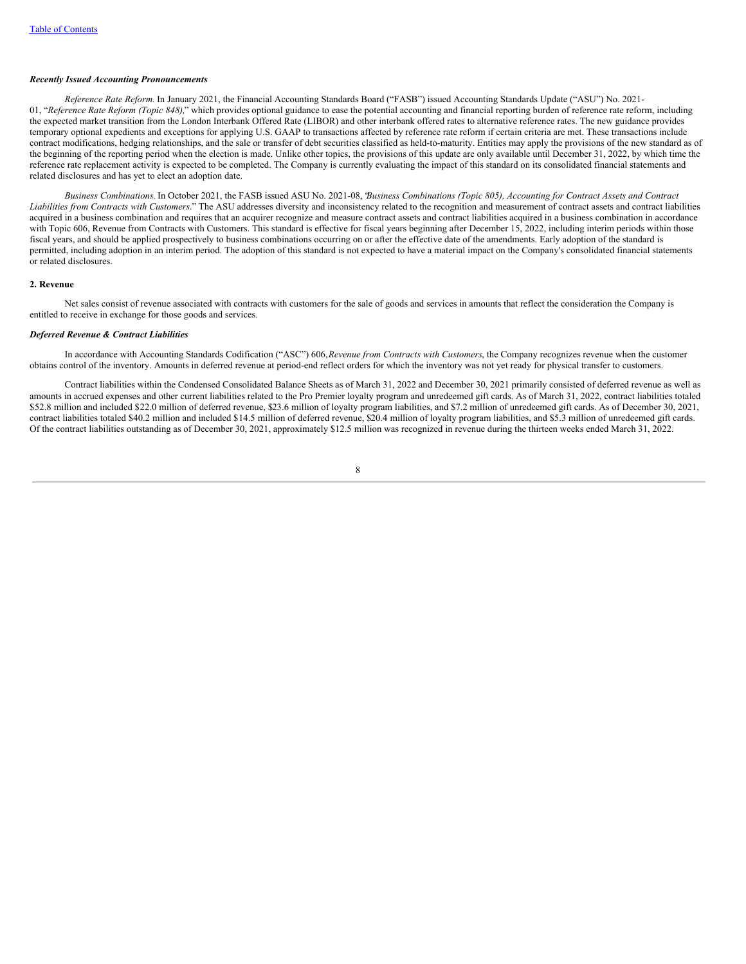# *Recently Issued Accounting Pronouncements*

*Reference Rate Reform.* In January 2021, the Financial Accounting Standards Board ("FASB") issued Accounting Standards Update ("ASU") No. 2021- 01, "*Reference Rate Reform (Topic 848),*" which provides optional guidance to ease the potential accounting and financial reporting burden of reference rate reform, including the expected market transition from the London Interbank Offered Rate (LIBOR) and other interbank offered rates to alternative reference rates. The new guidance provides temporary optional expedients and exceptions for applying U.S. GAAP to transactions affected by reference rate reform if certain criteria are met. These transactions include contract modifications, hedging relationships, and the sale or transfer of debt securities classified as held-to-maturity. Entities may apply the provisions of the new standard as of the beginning of the reporting period when the election is made. Unlike other topics, the provisions of this update are only available until December 31, 2022, by which time the reference rate replacement activity is expected to be completed. The Company is currently evaluating the impact of this standard on its consolidated financial statements and related disclosures and has yet to elect an adoption date.

Business Combinations. In October 2021, the FASB issued ASU No. 2021-08, 'Business Combinations (Topic 805), Accounting for Contract Assets and Contract *Liabilities from Contracts with Customers*." The ASU addresses diversity and inconsistency related to the recognition and measurement of contract assets and contract liabilities acquired in a business combination and requires that an acquirer recognize and measure contract assets and contract liabilities acquired in a business combination in accordance with Topic 606, Revenue from Contracts with Customers. This standard is effective for fiscal years beginning after December 15, 2022, including interim periods within those fiscal years, and should be applied prospectively to business combinations occurring on or after the effective date of the amendments. Early adoption of the standard is permitted, including adoption in an interim period. The adoption of this standard is not expected to have a material impact on the Company's consolidated financial statements or related disclosures.

#### **2. Revenue**

Net sales consist of revenue associated with contracts with customers for the sale of goods and services in amounts that reflect the consideration the Company is entitled to receive in exchange for those goods and services.

# *Deferred Revenue & Contract Liabilities*

In accordance with Accounting Standards Codification ("ASC") 606,*Revenue from Contracts with Customers*, the Company recognizes revenue when the customer obtains control of the inventory. Amounts in deferred revenue at period-end reflect orders for which the inventory was not yet ready for physical transfer to customers.

Contract liabilities within the Condensed Consolidated Balance Sheets as of March 31, 2022 and December 30, 2021 primarily consisted of deferred revenue as well as amounts in accrued expenses and other current liabilities related to the Pro Premier loyalty program and unredeemed gift cards. As of March 31, 2022, contract liabilities totaled \$52.8 million and included \$22.0 million of deferred revenue, \$23.6 million of loyalty program liabilities, and \$7.2 million of unredeemed gift cards. As of December 30, 2021, contract liabilities totaled \$40.2 million and included \$14.5 million of deferred revenue, \$20.4 million of loyalty program liabilities, and \$5.3 million of unredeemed gift cards. Of the contract liabilities outstanding as of December 30, 2021, approximately \$12.5 million was recognized in revenue during the thirteen weeks ended March 31, 2022.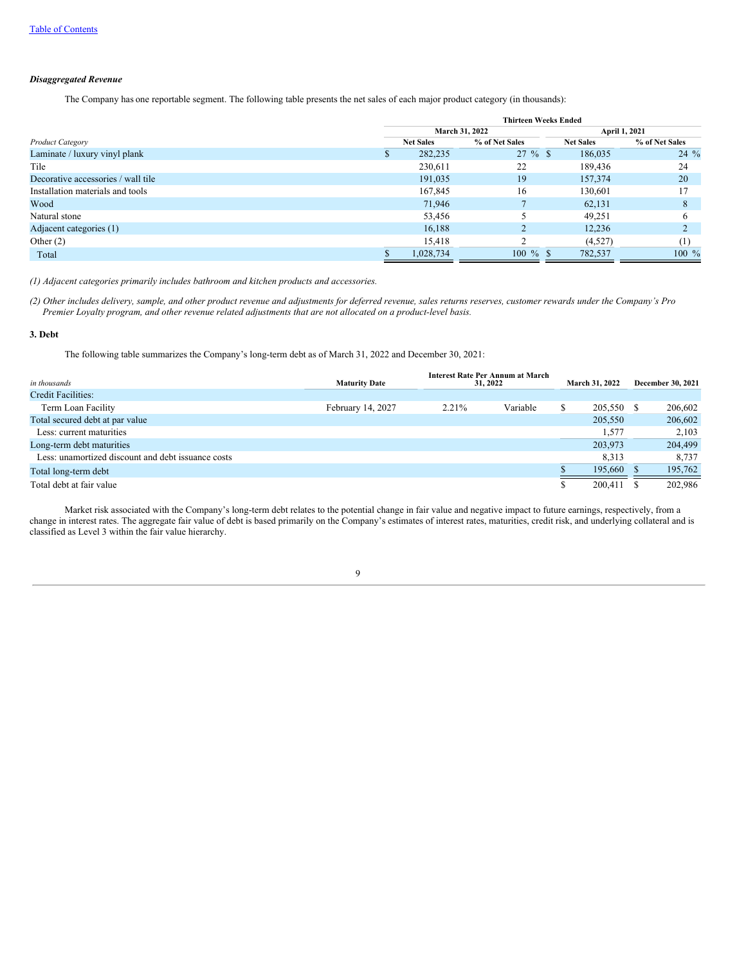# *Disaggregated Revenue*

The Company has one reportable segment. The following table presents the net sales of each major product category (in thousands):

|                                    | <b>Thirteen Weeks Ended</b> |                |  |                  |                |
|------------------------------------|-----------------------------|----------------|--|------------------|----------------|
|                                    | March 31, 2022              | April 1, 2021  |  |                  |                |
| <b>Product Category</b>            | <b>Net Sales</b>            | % of Net Sales |  | <b>Net Sales</b> | % of Net Sales |
| Laminate / luxury vinyl plank      | 282,235                     | $27 \%$ \$     |  | 186,035          | 24 %           |
| Tile                               | 230,611                     | 22             |  | 189,436          | 24             |
| Decorative accessories / wall tile | 191,035                     | 19             |  | 157,374          | 20             |
| Installation materials and tools   | 167,845                     | 16             |  | 130,601          | 17             |
| Wood                               | 71,946                      |                |  | 62.131           | 8              |
| Natural stone                      | 53,456                      |                |  | 49,251           | 6              |
| Adjacent categories (1)            | 16,188                      | $\mathcal{L}$  |  | 12,236           |                |
| Other $(2)$                        | 15,418                      |                |  | (4,527)          | (1)            |
| Total                              | 1,028,734                   | $100 \%$ \$    |  | 782,537          | $100\%$        |

*(1) Adjacent categories primarily includes bathroom and kitchen products and accessories.*

(2) Other includes delivery, sample, and other product revenue and adjustments for deferred revenue, sales returns reserves, customer rewards under the Company's Pro *Premier Loyalty program, and other revenue related adjustments that are not allocated on a product-level basis.*

# **3. Debt**

The following table summarizes the Company's long-term debt as of March 31, 2022 and December 30, 2021:

| in thousands                                       | <b>Maturity Date</b> | <b>Interest Rate Per Annum at March</b><br>31, 2022 |          | <b>March 31, 2022</b> |    | <b>December 30, 2021</b> |
|----------------------------------------------------|----------------------|-----------------------------------------------------|----------|-----------------------|----|--------------------------|
| <b>Credit Facilities:</b>                          |                      |                                                     |          |                       |    |                          |
| Term Loan Facility                                 | February 14, 2027    | 2.21%                                               | Variable | 205,550               | -8 | 206,602                  |
| Total secured debt at par value                    |                      |                                                     |          | 205,550               |    | 206,602                  |
| Less: current maturities                           |                      |                                                     |          | 1.577                 |    | 2,103                    |
| Long-term debt maturities                          |                      |                                                     |          | 203,973               |    | 204,499                  |
| Less: unamortized discount and debt issuance costs |                      |                                                     |          | 8,313                 |    | 8,737                    |
| Total long-term debt                               |                      |                                                     |          | 195,660               |    | 195,762                  |
| Total debt at fair value                           |                      |                                                     |          | 200,411               |    | 202,986                  |

Market risk associated with the Company's long-term debt relates to the potential change in fair value and negative impact to future earnings, respectively, from a change in interest rates. The aggregate fair value of debt is based primarily on the Company's estimates of interest rates, maturities, credit risk, and underlying collateral and is classified as Level 3 within the fair value hierarchy.

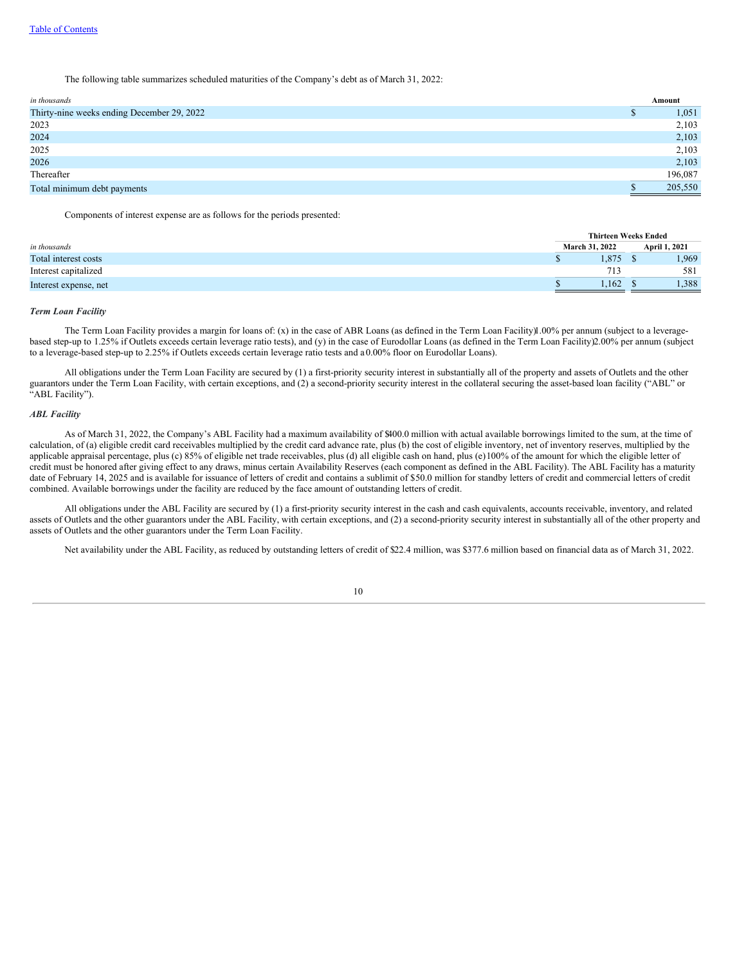The following table summarizes scheduled maturities of the Company's debt as of March 31, 2022:

| in thousands                               | Amount  |
|--------------------------------------------|---------|
| Thirty-nine weeks ending December 29, 2022 | 1,051   |
| 2023                                       | 2,103   |
| 2024                                       | 2,103   |
| 2025                                       | 2,103   |
| 2026                                       | 2,103   |
| Thereafter                                 | 196,087 |
| Total minimum debt payments                | 205,550 |

Components of interest expense are as follows for the periods presented:

|                       |  | <b>Thirteen Weeks Ended</b> |  |               |
|-----------------------|--|-----------------------------|--|---------------|
| in thousands          |  | March 31, 2022              |  | April 1, 2021 |
| Total interest costs  |  | 1.875                       |  | .969          |
| Interest capitalized  |  | 71'                         |  | 581           |
| Interest expense, net |  | 1.162                       |  | .388          |

#### *Term Loan Facility*

The Term Loan Facility provides a margin for loans of: (x) in the case of ABR Loans (as defined in the Term Loan Facility)1.00% per annum (subject to a leveragebased step-up to 1.25% if Outlets exceeds certain leverage ratio tests), and (y) in the case of Eurodollar Loans (as defined in the Term Loan Facility)2.00% per annum (subject to a leverage-based step-up to 2.25% if Outlets exceeds certain leverage ratio tests and a 0.00% floor on Eurodollar Loans).

All obligations under the Term Loan Facility are secured by (1) a first-priority security interest in substantially all of the property and assets of Outlets and the other guarantors under the Term Loan Facility, with certain exceptions, and (2) a second-priority security interest in the collateral securing the asset-based loan facility ("ABL" or "ABL Facility").

# *ABL Facility*

As of March 31, 2022, the Company's ABL Facility had a maximum availability of \$400.0 million with actual available borrowings limited to the sum, at the time of calculation, of (a) eligible credit card receivables multiplied by the credit card advance rate, plus (b) the cost of eligible inventory, net of inventory reserves, multiplied by the applicable appraisal percentage, plus (c) 85% of eligible net trade receivables, plus (d) all eligible cash on hand, plus (e) 100% of the amount for which the eligible letter of credit must be honored after giving effect to any draws, minus certain Availability Reserves (each component as defined in the ABL Facility). The ABL Facility has a maturity date of February 14, 2025 and is available for issuance of letters of credit and contains a sublimit of \$50.0 million for standby letters of credit and commercial letters of credit combined. Available borrowings under the facility are reduced by the face amount of outstanding letters of credit.

All obligations under the ABL Facility are secured by (1) a first-priority security interest in the cash and cash equivalents, accounts receivable, inventory, and related assets of Outlets and the other guarantors under the ABL Facility, with certain exceptions, and (2) a second-priority security interest in substantially all of the other property and assets of Outlets and the other guarantors under the Term Loan Facility.

Net availability under the ABL Facility, as reduced by outstanding letters of credit of \$22.4 million, was \$377.6 million based on financial data as of March 31, 2022.

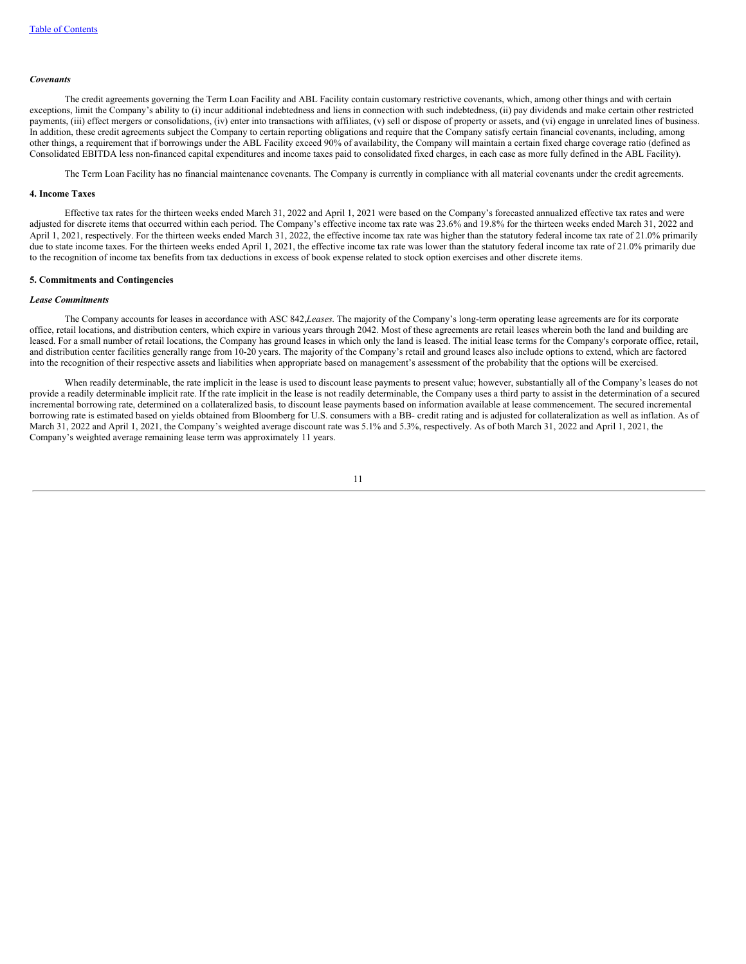## *Covenants*

The credit agreements governing the Term Loan Facility and ABL Facility contain customary restrictive covenants, which, among other things and with certain exceptions, limit the Company's ability to (i) incur additional indebtedness and liens in connection with such indebtedness, (ii) pay dividends and make certain other restricted payments, (iii) effect mergers or consolidations, (iv) enter into transactions with affiliates, (v) sell or dispose of property or assets, and (vi) engage in unrelated lines of business. In addition, these credit agreements subject the Company to certain reporting obligations and require that the Company satisfy certain financial covenants, including, among other things, a requirement that if borrowings under the ABL Facility exceed 90% of availability, the Company will maintain a certain fixed charge coverage ratio (defined as Consolidated EBITDA less non-financed capital expenditures and income taxes paid to consolidated fixed charges, in each case as more fully defined in the ABL Facility).

The Term Loan Facility has no financial maintenance covenants. The Company is currently in compliance with all material covenants under the credit agreements.

#### **4. Income Taxes**

Effective tax rates for the thirteen weeks ended March 31, 2022 and April 1, 2021 were based on the Company's forecasted annualized effective tax rates and were adjusted for discrete items that occurred within each period. The Company's effective income tax rate was 23.6% and 19.8% for the thirteen weeks ended March 31, 2022 and April 1, 2021, respectively. For the thirteen weeks ended March 31, 2022, the effective income tax rate was higher than the statutory federal income tax rate of 21.0% primarily due to state income taxes. For the thirteen weeks ended April 1, 2021, the effective income tax rate was lower than the statutory federal income tax rate of 21.0% primarily due to the recognition of income tax benefits from tax deductions in excess of book expense related to stock option exercises and other discrete items.

# **5. Commitments and Contingencies**

# *Lease Commitments*

The Company accounts for leases in accordance with ASC 842,*Leases*. The majority of the Company's long-term operating lease agreements are for its corporate office, retail locations, and distribution centers, which expire in various years through 2042. Most of these agreements are retail leases wherein both the land and building are leased. For a small number of retail locations, the Company has ground leases in which only the land is leased. The initial lease terms for the Company's corporate office, retail, and distribution center facilities generally range from 10-20 years. The majority of the Company's retail and ground leases also include options to extend, which are factored into the recognition of their respective assets and liabilities when appropriate based on management's assessment of the probability that the options will be exercised.

When readily determinable, the rate implicit in the lease is used to discount lease payments to present value; however, substantially all of the Company's leases do not provide a readily determinable implicit rate. If the rate implicit in the lease is not readily determinable, the Company uses a third party to assist in the determination of a secured incremental borrowing rate, determined on a collateralized basis, to discount lease payments based on information available at lease commencement. The secured incremental borrowing rate is estimated based on yields obtained from Bloomberg for U.S. consumers with a BB- credit rating and is adjusted for collateralization as well as inflation. As of March 31, 2022 and April 1, 2021, the Company's weighted average discount rate was 5.1% and 5.3%, respectively. As of both March 31, 2022 and April 1, 2021, the Company's weighted average remaining lease term was approximately 11 years.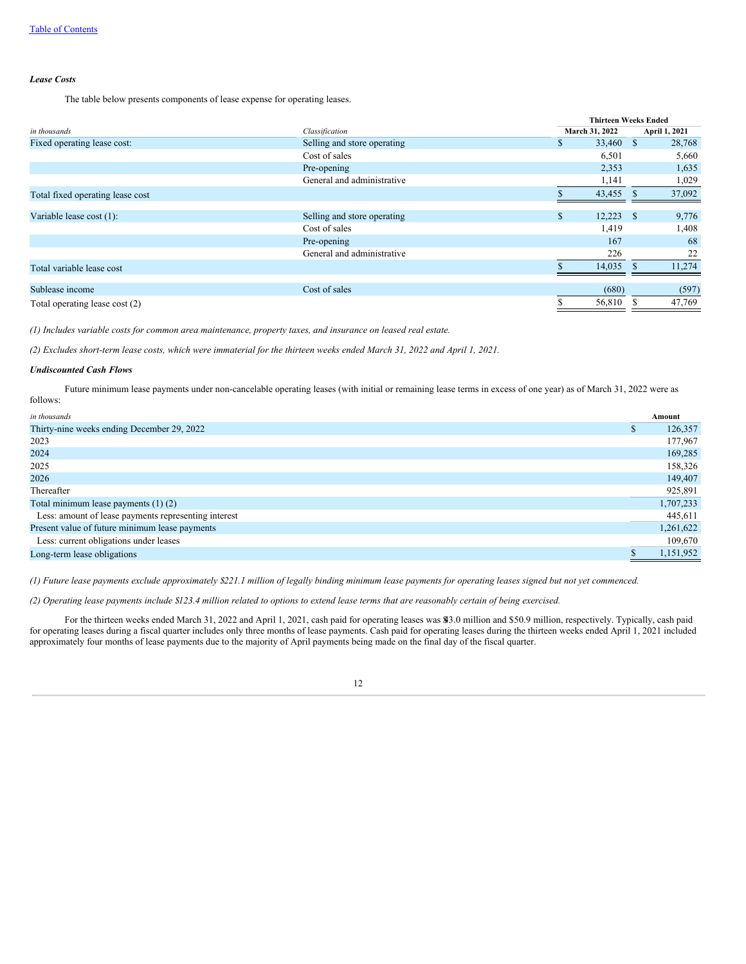# *Lease Costs*

The table below presents components of lease expense for operating leases.

|                                  |                             |                 | <b>Thirteen Weeks Ended</b> |               |  |  |  |
|----------------------------------|-----------------------------|-----------------|-----------------------------|---------------|--|--|--|
| in thousands                     | Classification              | March 31, 2022  |                             | April 1, 2021 |  |  |  |
| Fixed operating lease cost:      | Selling and store operating | 33,460 \$<br>N. |                             | 28,768        |  |  |  |
|                                  | Cost of sales               | 6,501           |                             | 5,660         |  |  |  |
|                                  | Pre-opening                 | 2,353           |                             | 1,635         |  |  |  |
|                                  | General and administrative  | 1,141           |                             | 1,029         |  |  |  |
| Total fixed operating lease cost |                             | 43,455          |                             | 37,092        |  |  |  |
|                                  |                             |                 |                             |               |  |  |  |
| Variable lease cost (1):         | Selling and store operating | 12,223<br>\$    | -\$                         | 9,776         |  |  |  |
|                                  | Cost of sales               | 1,419           |                             | 1,408         |  |  |  |
|                                  | Pre-opening                 | 167             |                             | 68            |  |  |  |
|                                  | General and administrative  | 226             |                             | 22            |  |  |  |
| Total variable lease cost        |                             | 14.035          |                             | 11,274        |  |  |  |
|                                  |                             |                 |                             |               |  |  |  |
| Sublease income                  | Cost of sales               | (680)           |                             | (597)         |  |  |  |
| Total operating lease cost (2)   |                             | 56,810          |                             | 47,769        |  |  |  |

*(1) Includes variable costs for common area maintenance, property taxes, and insurance on leased real estate.*

(2) Excludes short-term lease costs, which were immaterial for the thirteen weeks ended March 31, 2022 and April 1, 2021.

# *Undiscounted Cash Flows*

Future minimum lease payments under non-cancelable operating leases (with initial or remaining lease terms in excess of one year) as of March 31, 2022 were as follows:

| in thousands                                         | Amount    |
|------------------------------------------------------|-----------|
| Thirty-nine weeks ending December 29, 2022           | 126,357   |
| 2023                                                 | 177,967   |
| 2024                                                 | 169,285   |
| 2025                                                 | 158,326   |
| 2026                                                 | 149,407   |
| Thereafter                                           | 925,891   |
| Total minimum lease payments $(1)$ $(2)$             | 1,707,233 |
| Less: amount of lease payments representing interest | 445,611   |
| Present value of future minimum lease payments       | 1,261,622 |
| Less: current obligations under leases               | 109,670   |
| Long-term lease obligations                          | 1,151,952 |

(1) Future lease payments exclude approximately \$221.1 million of legally binding minimum lease payments for operating leases signed but not yet commenced.

(2) Operating lease payments include \$123.4 million related to options to extend lease terms that are reasonably certain of being exercised.

For the thirteen weeks ended March 31, 2022 and April 1, 2021, cash paid for operating leases was \$43.0 million and \$50.9 million, respectively. Typically, cash paid for operating leases during a fiscal quarter includes only three months of lease payments. Cash paid for operating leases during the thirteen weeks ended April 1, 2021 included approximately four months of lease payments due to the majority of April payments being made on the final day of the fiscal quarter.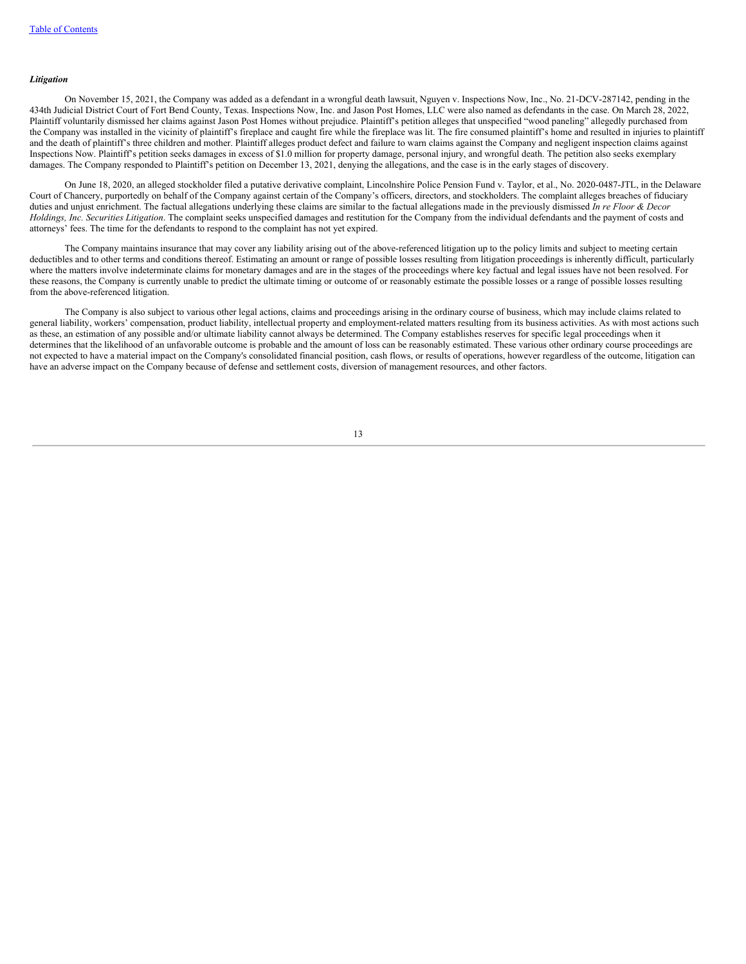# *Litigation*

On November 15, 2021, the Company was added as a defendant in a wrongful death lawsuit, Nguyen v. Inspections Now, Inc., No. 21-DCV-287142, pending in the 434th Judicial District Court of Fort Bend County, Texas. Inspections Now, Inc. and Jason Post Homes, LLC were also named as defendants in the case. On March 28, 2022, Plaintiff voluntarily dismissed her claims against Jason Post Homes without prejudice. Plaintiff's petition alleges that unspecified "wood paneling" allegedly purchased from the Company was installed in the vicinity of plaintiff's fireplace and caught fire while the fireplace was lit. The fire consumed plaintiff's home and resulted in injuries to plaintiff and the death of plaintiff's three children and mother. Plaintiff alleges product defect and failure to warn claims against the Company and negligent inspection claims against Inspections Now. Plaintiff's petition seeks damages in excess of \$1.0 million for property damage, personal injury, and wrongful death. The petition also seeks exemplary damages. The Company responded to Plaintiff's petition on December 13, 2021, denying the allegations, and the case is in the early stages of discovery.

On June 18, 2020, an alleged stockholder filed a putative derivative complaint, Lincolnshire Police Pension Fund v. Taylor, et al., No. 2020-0487-JTL, in the Delaware Court of Chancery, purportedly on behalf of the Company against certain of the Company's officers, directors, and stockholders. The complaint alleges breaches of fiduciary duties and unjust enrichment. The factual allegations underlying these claims are similar to the factual allegations made in the previously dismissed *In re Floor & Decor Holdings, Inc. Securities Litigation*. The complaint seeks unspecified damages and restitution for the Company from the individual defendants and the payment of costs and attorneys' fees. The time for the defendants to respond to the complaint has not yet expired.

The Company maintains insurance that may cover any liability arising out of the above-referenced litigation up to the policy limits and subject to meeting certain deductibles and to other terms and conditions thereof. Estimating an amount or range of possible losses resulting from litigation proceedings is inherently difficult, particularly where the matters involve indeterminate claims for monetary damages and are in the stages of the proceedings where key factual and legal issues have not been resolved. For these reasons, the Company is currently unable to predict the ultimate timing or outcome of or reasonably estimate the possible losses or a range of possible losses resulting from the above-referenced litigation.

The Company is also subject to various other legal actions, claims and proceedings arising in the ordinary course of business, which may include claims related to general liability, workers' compensation, product liability, intellectual property and employment-related matters resulting from its business activities. As with most actions such as these, an estimation of any possible and/or ultimate liability cannot always be determined. The Company establishes reserves for specific legal proceedings when it determines that the likelihood of an unfavorable outcome is probable and the amount of loss can be reasonably estimated. These various other ordinary course proceedings are not expected to have a material impact on the Company's consolidated financial position, cash flows, or results of operations, however regardless of the outcome, litigation can have an adverse impact on the Company because of defense and settlement costs, diversion of management resources, and other factors.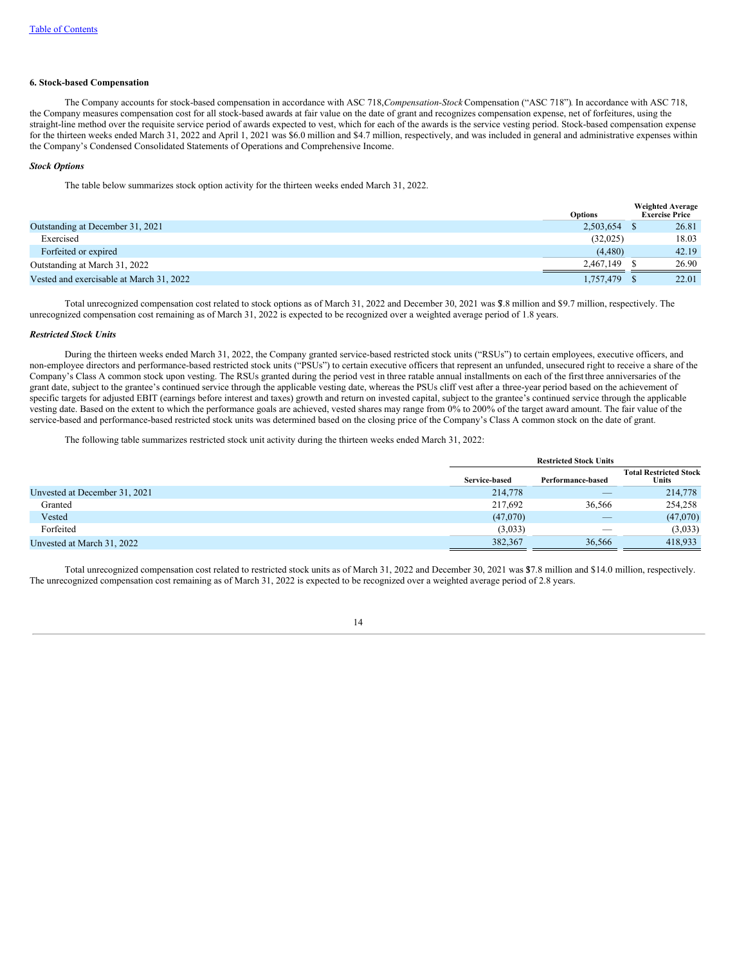#### **6. Stock-based Compensation**

The Company accounts for stock-based compensation in accordance with ASC 718,*Compensation-Stock* Compensation ("ASC 718")*.* In accordance with ASC 718, the Company measures compensation cost for all stock-based awards at fair value on the date of grant and recognizes compensation expense, net of forfeitures, using the straight-line method over the requisite service period of awards expected to vest, which for each of the awards is the service vesting period. Stock-based compensation expense for the thirteen weeks ended March 31, 2022 and April 1, 2021 was \$6.0 million and \$4.7 million, respectively, and was included in general and administrative expenses within the Company's Condensed Consolidated Statements of Operations and Comprehensive Income.

# *Stock Options*

The table below summarizes stock option activity for the thirteen weeks ended March 31, 2022.

|                                          |           | <b>Weighted Average</b> |
|------------------------------------------|-----------|-------------------------|
|                                          | Options   | <b>Exercise Price</b>   |
| Outstanding at December 31, 2021         | 2,503,654 | 26.81                   |
| Exercised                                | (32,025)  | 18.03                   |
| Forfeited or expired                     | (4.480)   | 42.19                   |
| Outstanding at March 31, 2022            | 2,467,149 | 26.90                   |
| Vested and exercisable at March 31, 2022 | 1,757,479 | 22.01                   |

Total unrecognized compensation cost related to stock options as of March 31, 2022 and December 30, 2021 was \$7.8 million and \$9.7 million, respectively. The unrecognized compensation cost remaining as of March 31, 2022 is expected to be recognized over a weighted average period of 1.8 years.

# *Restricted Stock Units*

During the thirteen weeks ended March 31, 2022, the Company granted service-based restricted stock units ("RSUs") to certain employees, executive officers, and non-employee directors and performance-based restricted stock units ("PSUs") to certain executive officers that represent an unfunded, unsecured right to receive a share of the Company's Class A common stock upon vesting. The RSUs granted during the period vest in three ratable annual installments on each of the first three anniversaries of the grant date, subject to the grantee's continued service through the applicable vesting date, whereas the PSUs cliff vest after a three-year period based on the achievement of specific targets for adjusted EBIT (earnings before interest and taxes) growth and return on invested capital, subject to the grantee's continued service through the applicable vesting date. Based on the extent to which the performance goals are achieved, vested shares may range from 0% to 200% of the target award amount. The fair value of the service-based and performance-based restricted stock units was determined based on the closing price of the Company's Class A common stock on the date of grant.

The following table summarizes restricted stock unit activity during the thirteen weeks ended March 31, 2022:

|                               | <b>Restricted Stock Units</b> |                          |                                               |  |  |
|-------------------------------|-------------------------------|--------------------------|-----------------------------------------------|--|--|
|                               | Service-based                 | Performance-based        | <b>Total Restricted Stock</b><br><b>Units</b> |  |  |
| Unvested at December 31, 2021 | 214,778                       | $\overline{\phantom{a}}$ | 214,778                                       |  |  |
| Granted                       | 217,692                       | 36,566                   | 254,258                                       |  |  |
| Vested                        | (47,070)                      | $\overline{\phantom{a}}$ | (47,070)                                      |  |  |
| Forfeited                     | (3,033)                       |                          | (3,033)                                       |  |  |
| Unvested at March 31, 2022    | 382,367                       | 36,566                   | 418.933                                       |  |  |

Total unrecognized compensation cost related to restricted stock units as of March 31, 2022 and December 30, 2021 was 3\$7.8 million and \$14.0 million, respectively. The unrecognized compensation cost remaining as of March 31, 2022 is expected to be recognized over a weighted average period of 2.8 years.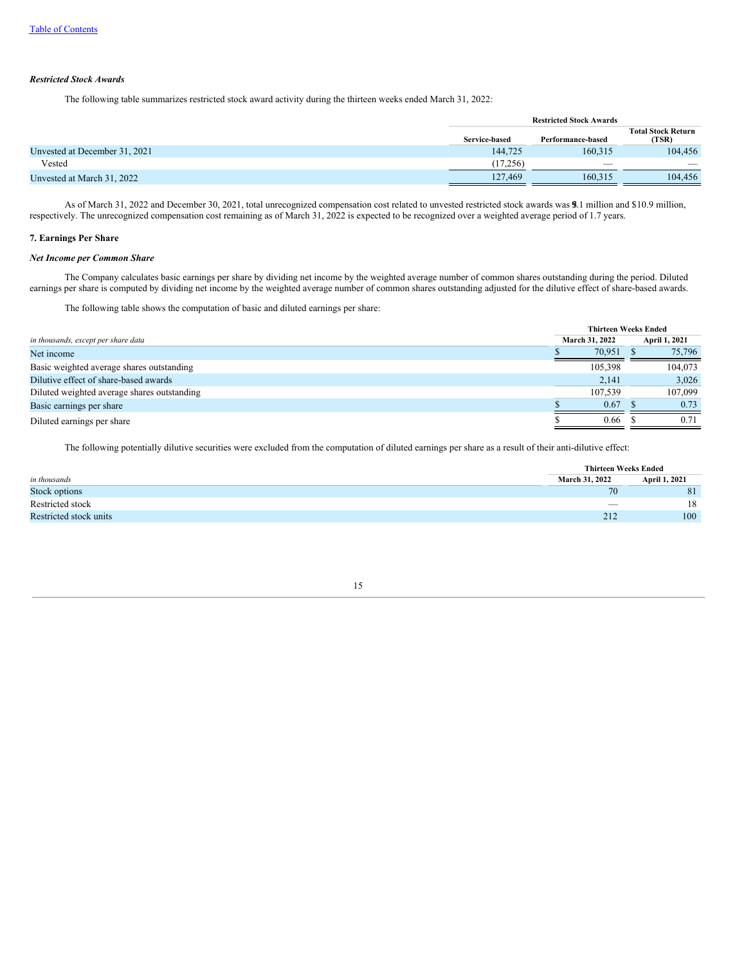# *Restricted Stock Awards*

The following table summarizes restricted stock award activity during the thirteen weeks ended March 31, 2022:

|                               | <b>Restricted Stock Awards</b> |                   |                                    |  |
|-------------------------------|--------------------------------|-------------------|------------------------------------|--|
|                               | Service-based                  | Performance-based | <b>Total Stock Return</b><br>(TSR) |  |
| Unvested at December 31, 2021 | 144,725                        | 160,315           | 104,456                            |  |
| Vested                        | (17.256)                       |                   | $\hspace{0.1mm}-\hspace{0.1mm}$    |  |
| Unvested at March 31, 2022    | 127.469                        | 160.315           | 104,456                            |  |

As of March 31, 2022 and December 30, 2021, total unrecognized compensation cost related to unvested restricted stock awards was 9.1 million and \$10.9 million, respectively. The unrecognized compensation cost remaining as of March 31, 2022 is expected to be recognized over a weighted average period of 1.7 years.

# **7. Earnings Per Share**

# *Net Income per Common Share*

The Company calculates basic earnings per share by dividing net income by the weighted average number of common shares outstanding during the period. Diluted earnings per share is computed by dividing net income by the weighted average number of common shares outstanding adjusted for the dilutive effect of share-based awards.

The following table shows the computation of basic and diluted earnings per share:

|                                             | <b>Thirteen Weeks Ended</b> |               |  |  |
|---------------------------------------------|-----------------------------|---------------|--|--|
| in thousands, except per share data         | March 31, 2022              | April 1, 2021 |  |  |
| Net income                                  | 70.951                      | 75,796        |  |  |
| Basic weighted average shares outstanding   | 105,398                     | 104,073       |  |  |
| Dilutive effect of share-based awards       | 2.141                       | 3,026         |  |  |
| Diluted weighted average shares outstanding | 107.539                     | 107,099       |  |  |
| Basic earnings per share                    | 0.67                        | 0.73          |  |  |
| Diluted earnings per share                  | 0.66                        | 0.71          |  |  |

The following potentially dilutive securities were excluded from the computation of diluted earnings per share as a result of their anti-dilutive effect:

|                        | <b>Thirteen Weeks Ended</b> |               |  |
|------------------------|-----------------------------|---------------|--|
| in thousands           | <b>March 31, 2022</b>       | April 1, 2021 |  |
| Stock options          | 70                          | 81            |  |
| Restricted stock       | $\overline{\phantom{a}}$    | 18            |  |
| Restricted stock units | 212                         | 100           |  |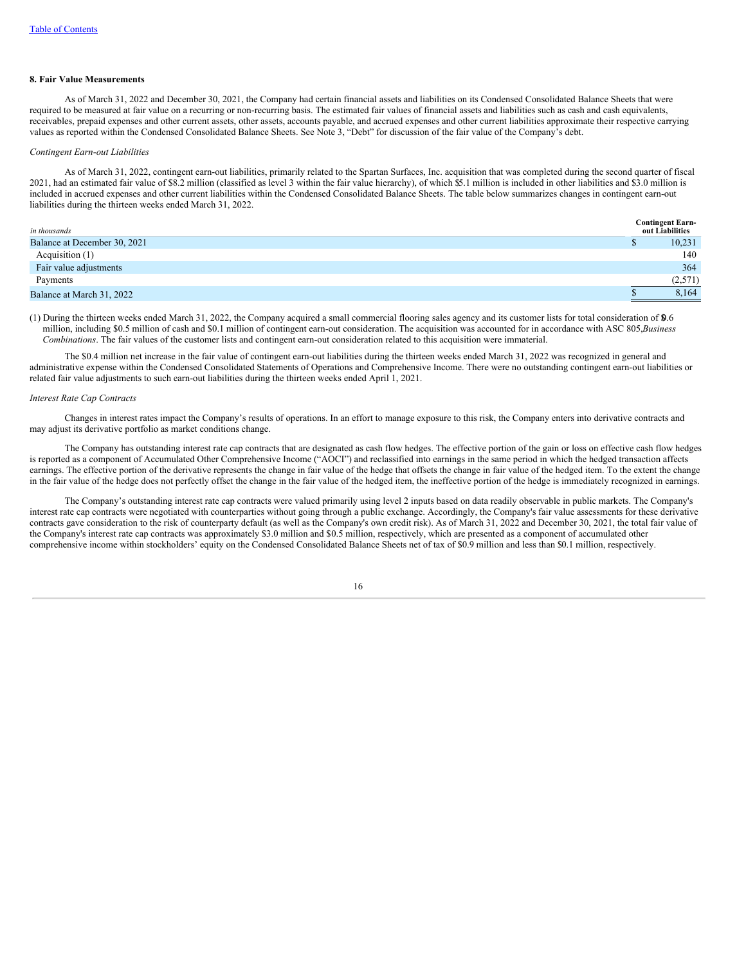# **8. Fair Value Measurements**

As of March 31, 2022 and December 30, 2021, the Company had certain financial assets and liabilities on its Condensed Consolidated Balance Sheets that were required to be measured at fair value on a recurring or non-recurring basis. The estimated fair values of financial assets and liabilities such as cash and cash equivalents, receivables, prepaid expenses and other current assets, other assets, accounts payable, and accrued expenses and other current liabilities approximate their respective carrying values as reported within the Condensed Consolidated Balance Sheets. See Note 3, "Debt" for discussion of the fair value of the Company's debt.

# *Contingent Earn-out Liabilities*

As of March 31, 2022, contingent earn-out liabilities, primarily related to the Spartan Surfaces, Inc. acquisition that was completed during the second quarter of fiscal 2021, had an estimated fair value of \$8.2 million (classified as level 3 within the fair value hierarchy), of which \$5.1 million is included in other liabilities and \$3.0 million is included in accrued expenses and other current liabilities within the Condensed Consolidated Balance Sheets. The table below summarizes changes in contingent earn-out liabilities during the thirteen weeks ended March 31, 2022.

| in thousands                 | <b>Contingent Earn-</b><br>out Liabilities |
|------------------------------|--------------------------------------------|
| Balance at December 30, 2021 | 10,231                                     |
| Acquisition (1)              | 140                                        |
| Fair value adjustments       | 364                                        |
| Payments                     | (2,571)                                    |
| Balance at March 31, 2022    | 8,164                                      |

(1) During the thirteen weeks ended March 31, 2022, the Company acquired a small commercial flooring sales agency and its customer lists for total consideration of \$0.6 million, including \$0.5 million of cash and \$0.1 million of contingent earn-out consideration. The acquisition was accounted for in accordance with ASC 805,*Business Combinations*. The fair values of the customer lists and contingent earn-out consideration related to this acquisition were immaterial.

The \$0.4 million net increase in the fair value of contingent earn-out liabilities during the thirteen weeks ended March 31, 2022 was recognized in general and administrative expense within the Condensed Consolidated Statements of Operations and Comprehensive Income. There were no outstanding contingent earn-out liabilities or related fair value adjustments to such earn-out liabilities during the thirteen weeks ended April 1, 2021.

#### *Interest Rate Cap Contracts*

Changes in interest rates impact the Company's results of operations. In an effort to manage exposure to this risk, the Company enters into derivative contracts and may adjust its derivative portfolio as market conditions change.

The Company has outstanding interest rate cap contracts that are designated as cash flow hedges. The effective portion of the gain or loss on effective cash flow hedges is reported as a component of Accumulated Other Comprehensive Income ("AOCI") and reclassified into earnings in the same period in which the hedged transaction affects earnings. The effective portion of the derivative represents the change in fair value of the hedge that offsets the change in fair value of the hedged item. To the extent the change in the fair value of the hedge does not perfectly offset the change in the fair value of the hedged item, the ineffective portion of the hedge is immediately recognized in earnings.

<span id="page-15-0"></span>The Company's outstanding interest rate cap contracts were valued primarily using level 2 inputs based on data readily observable in public markets. The Company's interest rate cap contracts were negotiated with counterparties without going through a public exchange. Accordingly, the Company's fair value assessments for these derivative contracts gave consideration to the risk of counterparty default (as well as the Company's own credit risk). As of March 31, 2022 and December 30, 2021, the total fair value of the Company's interest rate cap contracts was approximately \$3.0 million and \$0.5 million, respectively, which are presented as a component of accumulated other comprehensive income within stockholders' equity on the Condensed Consolidated Balance Sheets net of tax of \$0.9 million and less than \$0.1 million, respectively.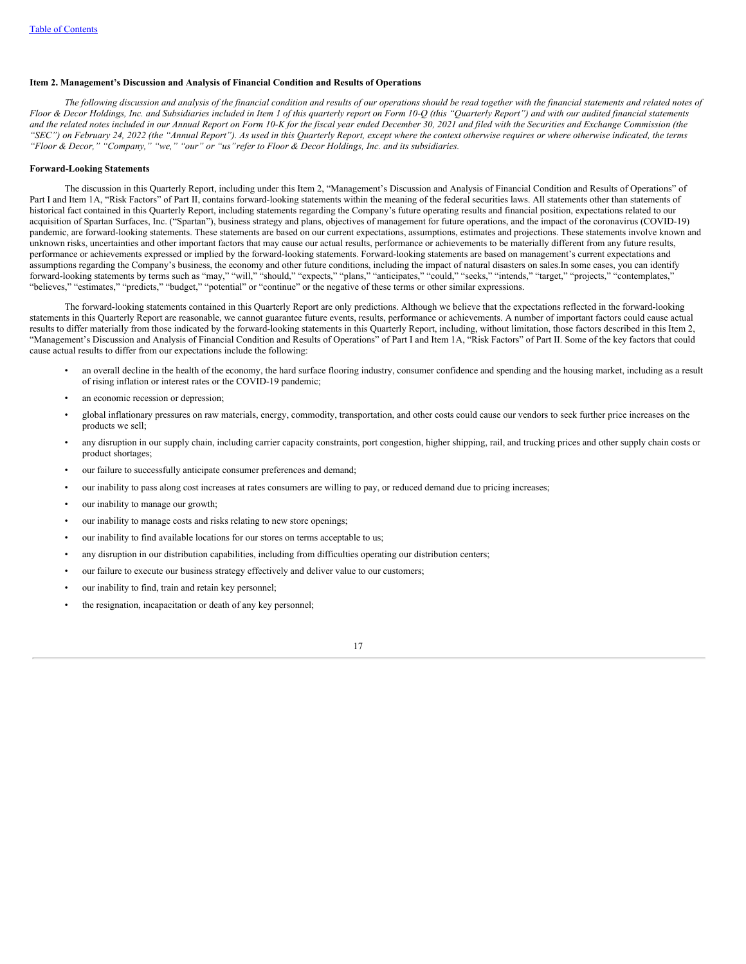### **Item 2. Management's Discussion and Analysis of Financial Condition and Results of Operations**

The following discussion and analysis of the financial condition and results of our operations should be read together with the financial statements and related notes of Floor & Decor Holdings, Inc. and Subsidiaries included in Item 1 of this quarterly report on Form 10-Q (this "Quarterly Report") and with our audited financial statements and the related notes included in our Annual Report on Form 10-K for the fiscal year ended December 30, 2021 and filed with the Securities and Exchange Commission (the "SEC") on February 24, 2022 (the "Annual Report"). As used in this Quarterly Report, except where the context otherwise requires or where otherwise indicated, the terms "Floor & Decor," "Company," "we," "our" or "us" refer to Floor & Decor Holdings, Inc. and its subsidiaries.

### <span id="page-16-0"></span>**Forward-Looking Statements**

The discussion in this Quarterly Report, including under this Item 2, "Management's Discussion and Analysis of Financial Condition and Results of Operations" of Part I and Item 1A, "Risk Factors" of Part II, contains forward-looking statements within the meaning of the federal securities laws. All statements other than statements of historical fact contained in this Quarterly Report, including statements regarding the Company's future operating results and financial position, expectations related to our acquisition of Spartan Surfaces, Inc. ("Spartan"), business strategy and plans, objectives of management for future operations, and the impact of the coronavirus (COVID-19) pandemic, are forward-looking statements. These statements are based on our current expectations, assumptions, estimates and projections. These statements involve known and unknown risks, uncertainties and other important factors that may cause our actual results, performance or achievements to be materially different from any future results, performance or achievements expressed or implied by the forward-looking statements. Forward-looking statements are based on management's current expectations and assumptions regarding the Company's business, the economy and other future conditions, including the impact of natural disasters on sales.In some cases, you can identify forward-looking statements by terms such as "may," "will," "should," "expects," "plans," "anticipates," "could," "seeks," "intends," "target," "projects," "contemplates," "believes," "estimates," "predicts," "budget," "potential" or "continue" or the negative of these terms or other similar expressions.

The forward-looking statements contained in this Quarterly Report are only predictions. Although we believe that the expectations reflected in the forward-looking statements in this Quarterly Report are reasonable, we cannot guarantee future events, results, performance or achievements. A number of important factors could cause actual results to differ materially from those indicated by the forward-looking statements in this Quarterly Report, including, without limitation, those factors described in this Item 2, "Management's Discussion and Analysis of Financial Condition and Results of Operations" of Part I and Item 1A, "Risk Factors" of Part II. Some of the key factors that could cause actual results to differ from our expectations include the following:

- an overall decline in the health of the economy, the hard surface flooring industry, consumer confidence and spending and the housing market, including as a result of rising inflation or interest rates or the COVID-19 pandemic;
- an economic recession or depression;
- global inflationary pressures on raw materials, energy, commodity, transportation, and other costs could cause our vendors to seek further price increases on the products we sell;
- any disruption in our supply chain, including carrier capacity constraints, port congestion, higher shipping, rail, and trucking prices and other supply chain costs or product shortages;
- our failure to successfully anticipate consumer preferences and demand;
- our inability to pass along cost increases at rates consumers are willing to pay, or reduced demand due to pricing increases;
- our inability to manage our growth;
- our inability to manage costs and risks relating to new store openings;
- our inability to find available locations for our stores on terms acceptable to us;
- any disruption in our distribution capabilities, including from difficulties operating our distribution centers;
- our failure to execute our business strategy effectively and deliver value to our customers;
- our inability to find, train and retain key personnel;
- the resignation, incapacitation or death of any key personnel;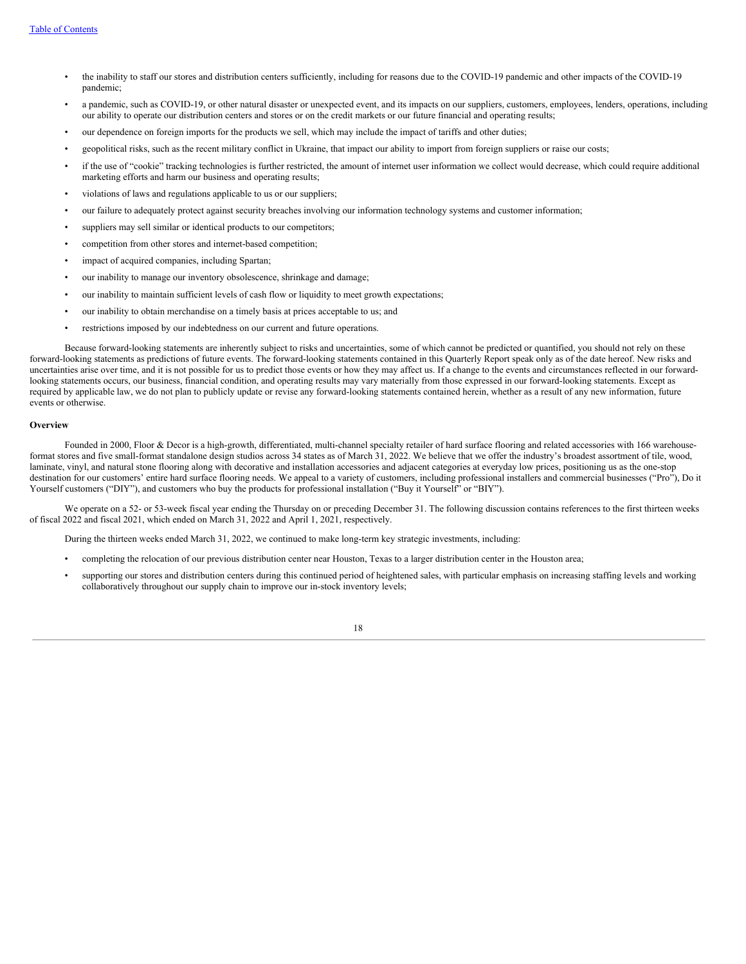- the inability to staff our stores and distribution centers sufficiently, including for reasons due to the COVID-19 pandemic and other impacts of the COVID-19 pandemic;
- a pandemic, such as COVID-19, or other natural disaster or unexpected event, and its impacts on our suppliers, customers, employees, lenders, operations, including our ability to operate our distribution centers and stores or on the credit markets or our future financial and operating results;
- our dependence on foreign imports for the products we sell, which may include the impact of tariffs and other duties;
- geopolitical risks, such as the recent military conflict in Ukraine, that impact our ability to import from foreign suppliers or raise our costs;
- if the use of "cookie" tracking technologies is further restricted, the amount of internet user information we collect would decrease, which could require additional marketing efforts and harm our business and operating results;
- violations of laws and regulations applicable to us or our suppliers;
- our failure to adequately protect against security breaches involving our information technology systems and customer information;
- suppliers may sell similar or identical products to our competitors;
- competition from other stores and internet-based competition;
- impact of acquired companies, including Spartan;
- our inability to manage our inventory obsolescence, shrinkage and damage;
- our inability to maintain sufficient levels of cash flow or liquidity to meet growth expectations;
- our inability to obtain merchandise on a timely basis at prices acceptable to us; and
- restrictions imposed by our indebtedness on our current and future operations.

Because forward-looking statements are inherently subject to risks and uncertainties, some of which cannot be predicted or quantified, you should not rely on these forward-looking statements as predictions of future events. The forward-looking statements contained in this Quarterly Report speak only as of the date hereof. New risks and uncertainties arise over time, and it is not possible for us to predict those events or how they may affect us. If a change to the events and circumstances reflected in our forwardlooking statements occurs, our business, financial condition, and operating results may vary materially from those expressed in our forward-looking statements. Except as required by applicable law, we do not plan to publicly update or revise any forward-looking statements contained herein, whether as a result of any new information, future events or otherwise.

#### **Overview**

Founded in 2000, Floor & Decor is a high-growth, differentiated, multi-channel specialty retailer of hard surface flooring and related accessories with 166 warehouseformat stores and five small-format standalone design studios across 34 states as of March 31, 2022. We believe that we offer the industry's broadest assortment of tile, wood, laminate, vinyl, and natural stone flooring along with decorative and installation accessories and adjacent categories at everyday low prices, positioning us as the one-stop destination for our customers' entire hard surface flooring needs. We appeal to a variety of customers, including professional installers and commercial businesses ("Pro"), Do it Yourself customers ("DIY"), and customers who buy the products for professional installation ("Buy it Yourself" or "BIY").

We operate on a 52- or 53-week fiscal year ending the Thursday on or preceding December 31. The following discussion contains references to the first thirteen weeks of fiscal 2022 and fiscal 2021, which ended on March 31, 2022 and April 1, 2021, respectively.

During the thirteen weeks ended March 31, 2022, we continued to make long-term key strategic investments, including:

- completing the relocation of our previous distribution center near Houston, Texas to a larger distribution center in the Houston area;
- supporting our stores and distribution centers during this continued period of heightened sales, with particular emphasis on increasing staffing levels and working collaboratively throughout our supply chain to improve our in-stock inventory levels;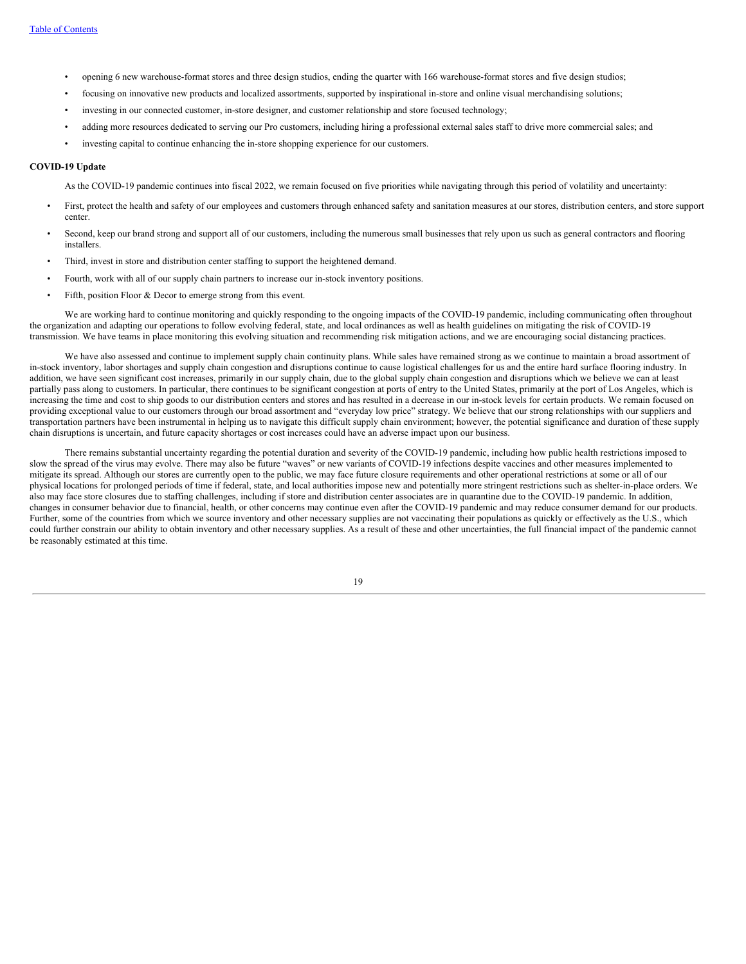- opening 6 new warehouse-format stores and three design studios, ending the quarter with 166 warehouse-format stores and five design studios;
- focusing on innovative new products and localized assortments, supported by inspirational in-store and online visual merchandising solutions;
- investing in our connected customer, in-store designer, and customer relationship and store focused technology;
- adding more resources dedicated to serving our Pro customers, including hiring a professional external sales staff to drive more commercial sales; and
- investing capital to continue enhancing the in-store shopping experience for our customers.

# **COVID-19 Update**

As the COVID-19 pandemic continues into fiscal 2022, we remain focused on five priorities while navigating through this period of volatility and uncertainty:

- First, protect the health and safety of our employees and customers through enhanced safety and sanitation measures at our stores, distribution centers, and store support center.
- Second, keep our brand strong and support all of our customers, including the numerous small businesses that rely upon us such as general contractors and flooring installers.
- Third, invest in store and distribution center staffing to support the heightened demand.
- Fourth, work with all of our supply chain partners to increase our in-stock inventory positions.
- Fifth, position Floor & Decor to emerge strong from this event.

We are working hard to continue monitoring and quickly responding to the ongoing impacts of the COVID-19 pandemic, including communicating often throughout the organization and adapting our operations to follow evolving federal, state, and local ordinances as well as health guidelines on mitigating the risk of COVID-19 transmission. We have teams in place monitoring this evolving situation and recommending risk mitigation actions, and we are encouraging social distancing practices.

We have also assessed and continue to implement supply chain continuity plans. While sales have remained strong as we continue to maintain a broad assortment of in-stock inventory, labor shortages and supply chain congestion and disruptions continue to cause logistical challenges for us and the entire hard surface flooring industry. In addition, we have seen significant cost increases, primarily in our supply chain, due to the global supply chain congestion and disruptions which we believe we can at least partially pass along to customers. In particular, there continues to be significant congestion at ports of entry to the United States, primarily at the port of Los Angeles, which is increasing the time and cost to ship goods to our distribution centers and stores and has resulted in a decrease in our in-stock levels for certain products. We remain focused on providing exceptional value to our customers through our broad assortment and "everyday low price" strategy. We believe that our strong relationships with our suppliers and transportation partners have been instrumental in helping us to navigate this difficult supply chain environment; however, the potential significance and duration of these supply chain disruptions is uncertain, and future capacity shortages or cost increases could have an adverse impact upon our business.

There remains substantial uncertainty regarding the potential duration and severity of the COVID-19 pandemic, including how public health restrictions imposed to slow the spread of the virus may evolve. There may also be future "waves" or new variants of COVID-19 infections despite vaccines and other measures implemented to mitigate its spread. Although our stores are currently open to the public, we may face future closure requirements and other operational restrictions at some or all of our physical locations for prolonged periods of time if federal, state, and local authorities impose new and potentially more stringent restrictions such as shelter-in-place orders. We also may face store closures due to staffing challenges, including if store and distribution center associates are in quarantine due to the COVID-19 pandemic. In addition, changes in consumer behavior due to financial, health, or other concerns may continue even after the COVID-19 pandemic and may reduce consumer demand for our products. Further, some of the countries from which we source inventory and other necessary supplies are not vaccinating their populations as quickly or effectively as the U.S., which could further constrain our ability to obtain inventory and other necessary supplies. As a result of these and other uncertainties, the full financial impact of the pandemic cannot be reasonably estimated at this time.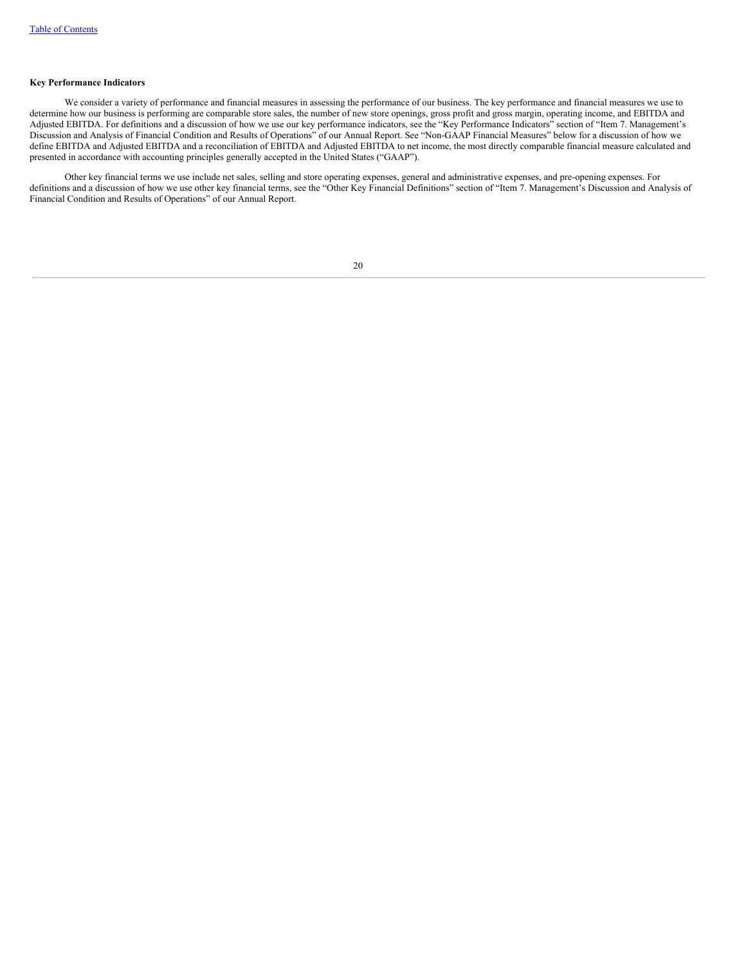#### **Key Performance Indicators**

We consider a variety of performance and financial measures in assessing the performance of our business. The key performance and financial measures we use to determine how our business is performing are comparable store sales, the number of new store openings, gross profit and gross margin, operating income, and EBITDA and Adjusted EBITDA. For definitions and a discussion of how we use our key performance indicators, see the "Key Performance Indicators" section of "Item 7. Management's Discussion and Analysis of Financial Condition and Results of Operations" of our Annual Report. See "Non-GAAP Financial Measures" below for a discussion of how we define EBITDA and Adjusted EBITDA and a reconciliation of EBITDA and Adjusted EBITDA to net income, the most directly comparable financial measure calculated and presented in accordance with accounting principles generally accepted in the United States ("GAAP").

Other key financial terms we use include net sales, selling and store operating expenses, general and administrative expenses, and pre-opening expenses. For definitions and a discussion of how we use other key financial terms, see the "Other Key Financial Definitions" section of "Item 7. Management's Discussion and Analysis of Financial Condition and Results of Operations" of our Annual Report.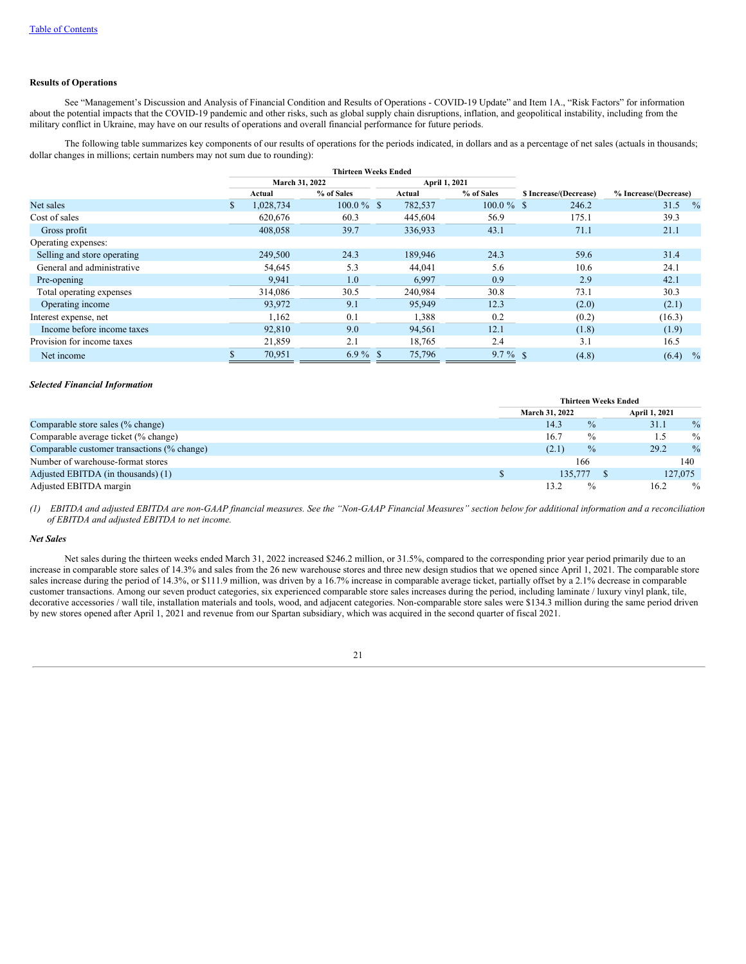# **Results of Operations**

See "Management's Discussion and Analysis of Financial Condition and Results of Operations - COVID-19 Update" and Item 1A., "Risk Factors" for information about the potential impacts that the COVID-19 pandemic and other risks, such as global supply chain disruptions, inflation, and geopolitical instability, including from the military conflict in Ukraine, may have on our results of operations and overall financial performance for future periods.

The following table summarizes key components of our results of operations for the periods indicated, in dollars and as a percentage of net sales (actuals in thousands; dollar changes in millions; certain numbers may not sum due to rounding):

|                             | <b>Thirteen Weeks Ended</b> |                                 |  |               |  |         |            |               |                        |       |                       |                        |  |
|-----------------------------|-----------------------------|---------------------------------|--|---------------|--|---------|------------|---------------|------------------------|-------|-----------------------|------------------------|--|
|                             |                             | March 31, 2022<br>April 1, 2021 |  |               |  |         |            |               |                        |       |                       |                        |  |
|                             |                             | Actual                          |  | % of Sales    |  | Actual  | % of Sales |               | \$ Increase/(Decrease) |       | % Increase/(Decrease) |                        |  |
| Net sales                   |                             | 1,028,734                       |  | $100.0 \%$ \$ |  | 782,537 |            | $100.0 \%$ \$ |                        | 246.2 |                       | 31.5<br>$\frac{0}{0}$  |  |
| Cost of sales               |                             | 620,676                         |  | 60.3          |  | 445,604 |            | 56.9          |                        | 175.1 |                       | 39.3                   |  |
| Gross profit                |                             | 408,058                         |  | 39.7          |  | 336,933 |            | 43.1          |                        | 71.1  |                       | 21.1                   |  |
| Operating expenses:         |                             |                                 |  |               |  |         |            |               |                        |       |                       |                        |  |
| Selling and store operating |                             | 249,500                         |  | 24.3          |  | 189,946 |            | 24.3          |                        | 59.6  |                       | 31.4                   |  |
| General and administrative  |                             | 54,645                          |  | 5.3           |  | 44,041  |            | 5.6           |                        | 10.6  |                       | 24.1                   |  |
| Pre-opening                 |                             | 9.941                           |  | 1.0           |  | 6,997   |            | 0.9           |                        | 2.9   |                       | 42.1                   |  |
| Total operating expenses    |                             | 314,086                         |  | 30.5          |  | 240,984 |            | 30.8          |                        | 73.1  |                       | 30.3                   |  |
| Operating income            |                             | 93.972                          |  | 9.1           |  | 95,949  |            | 12.3          |                        | (2.0) |                       | (2.1)                  |  |
| Interest expense, net       |                             | 1,162                           |  | 0.1           |  | 1,388   |            | 0.2           |                        | (0.2) |                       | (16.3)                 |  |
| Income before income taxes  |                             | 92,810                          |  | 9.0           |  | 94,561  |            | 12.1          |                        | (1.8) |                       | (1.9)                  |  |
| Provision for income taxes  |                             | 21,859                          |  | 2.1           |  | 18,765  |            | 2.4           |                        | 3.1   |                       | 16.5                   |  |
| Net income                  |                             | 70,951                          |  | $6.9\%$ \$    |  | 75,796  |            | $9.7 \%$ \$   |                        | (4.8) |                       | $\frac{0}{0}$<br>(6.4) |  |

#### *Selected Financial Information*

|                                             | <b>Thirteen Weeks Ended</b> |               |                      |               |  |
|---------------------------------------------|-----------------------------|---------------|----------------------|---------------|--|
|                                             | <b>March 31, 2022</b>       |               | <b>April 1, 2021</b> |               |  |
| Comparable store sales (% change)           | 14.3                        | $\%$          | 31.1                 | $\%$          |  |
| Comparable average ticket (% change)        | 16.7                        | $\frac{0}{0}$ | 1.5                  | $\frac{0}{0}$ |  |
| Comparable customer transactions (% change) | (2.1)                       | $\%$          | 29.2                 | $\%$          |  |
| Number of warehouse-format stores           |                             | 166           |                      | 140           |  |
| Adjusted EBITDA (in thousands) (1)          |                             | 135,777 \$    |                      | 127,075       |  |
| Adjusted EBITDA margin                      | 13.2                        | $\%$          | 16.2                 | $\%$          |  |

(1) EBITDA and adjusted EBITDA are non-GAAP financial measures. See the "Non-GAAP Financial Measures" section below for additional information and a reconciliation *of EBITDA and adjusted EBITDA to net income.*

#### *Net Sales*

Net sales during the thirteen weeks ended March 31, 2022 increased \$246.2 million, or 31.5%, compared to the corresponding prior year period primarily due to an increase in comparable store sales of 14.3% and sales from the 26 new warehouse stores and three new design studios that we opened since April 1, 2021. The comparable store sales increase during the period of 14.3%, or \$111.9 million, was driven by a 16.7% increase in comparable average ticket, partially offset by a 2.1% decrease in comparable customer transactions. Among our seven product categories, six experienced comparable store sales increases during the period, including laminate / luxury vinyl plank, tile, decorative accessories / wall tile, installation materials and tools, wood, and adjacent categories. Non-comparable store sales were \$134.3 million during the same period driven by new stores opened after April 1, 2021 and revenue from our Spartan subsidiary, which was acquired in the second quarter of fiscal 2021.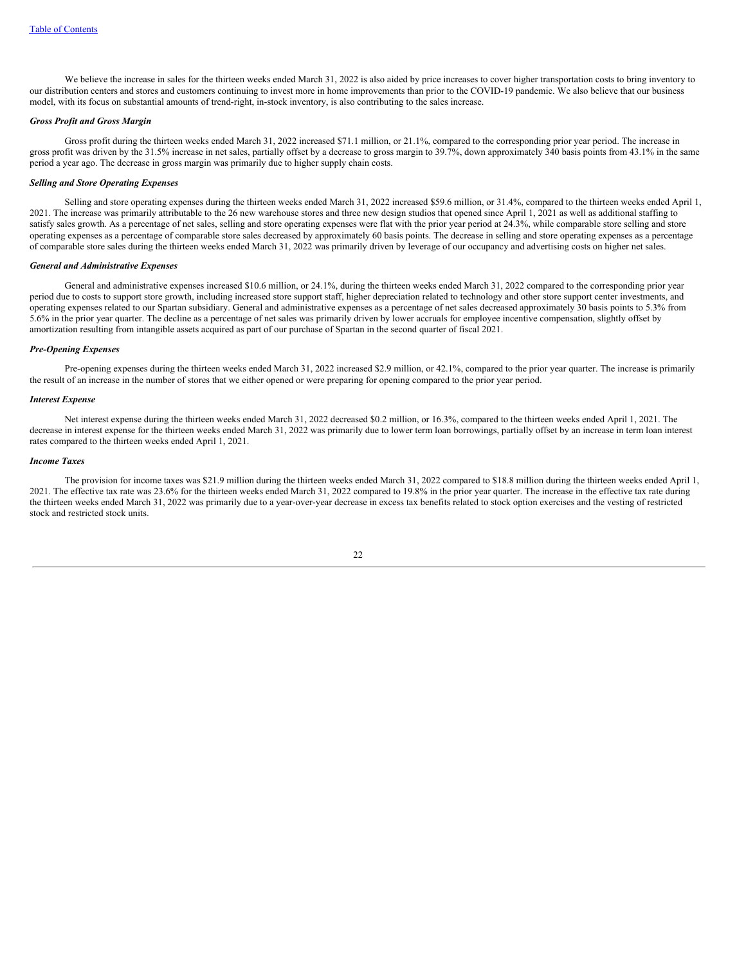We believe the increase in sales for the thirteen weeks ended March 31, 2022 is also aided by price increases to cover higher transportation costs to bring inventory to our distribution centers and stores and customers continuing to invest more in home improvements than prior to the COVID-19 pandemic. We also believe that our business model, with its focus on substantial amounts of trend-right, in-stock inventory, is also contributing to the sales increase.

### *Gross Profit and Gross Margin*

Gross profit during the thirteen weeks ended March 31, 2022 increased \$71.1 million, or 21.1%, compared to the corresponding prior year period. The increase in gross profit was driven by the 31.5% increase in net sales, partially offset by a decrease to gross margin to 39.7%, down approximately 340 basis points from 43.1% in the same period a year ago. The decrease in gross margin was primarily due to higher supply chain costs.

# *Selling and Store Operating Expenses*

Selling and store operating expenses during the thirteen weeks ended March 31, 2022 increased \$59.6 million, or 31.4%, compared to the thirteen weeks ended April 1, 2021. The increase was primarily attributable to the 26 new warehouse stores and three new design studios that opened since April 1, 2021 as well as additional staffing to satisfy sales growth. As a percentage of net sales, selling and store operating expenses were flat with the prior year period at 24.3%, while comparable store selling and store operating expenses as a percentage of comparable store sales decreased by approximately 60 basis points. The decrease in selling and store operating expenses as a percentage of comparable store sales during the thirteen weeks ended March 31, 2022 was primarily driven by leverage of our occupancy and advertising costs on higher net sales.

# *General and Administrative Expenses*

General and administrative expenses increased \$10.6 million, or 24.1%, during the thirteen weeks ended March 31, 2022 compared to the corresponding prior year period due to costs to support store growth, including increased store support staff, higher depreciation related to technology and other store support center investments, and operating expenses related to our Spartan subsidiary. General and administrative expenses as a percentage of net sales decreased approximately 30 basis points to 5.3% from 5.6% in the prior year quarter. The decline as a percentage of net sales was primarily driven by lower accruals for employee incentive compensation, slightly offset by amortization resulting from intangible assets acquired as part of our purchase of Spartan in the second quarter of fiscal 2021.

#### *Pre-Opening Expenses*

Pre-opening expenses during the thirteen weeks ended March 31, 2022 increased \$2.9 million, or 42.1%, compared to the prior year quarter. The increase is primarily the result of an increase in the number of stores that we either opened or were preparing for opening compared to the prior year period.

# *Interest Expense*

Net interest expense during the thirteen weeks ended March 31, 2022 decreased \$0.2 million, or 16.3%, compared to the thirteen weeks ended April 1, 2021. The decrease in interest expense for the thirteen weeks ended March 31, 2022 was primarily due to lower term loan borrowings, partially offset by an increase in term loan interest rates compared to the thirteen weeks ended April 1, 2021.

#### *Income Taxes*

The provision for income taxes was \$21.9 million during the thirteen weeks ended March 31, 2022 compared to \$18.8 million during the thirteen weeks ended April 1, 2021. The effective tax rate was 23.6% for the thirteen weeks ended March 31, 2022 compared to 19.8% in the prior year quarter. The increase in the effective tax rate during the thirteen weeks ended March 31, 2022 was primarily due to a year-over-year decrease in excess tax benefits related to stock option exercises and the vesting of restricted stock and restricted stock units.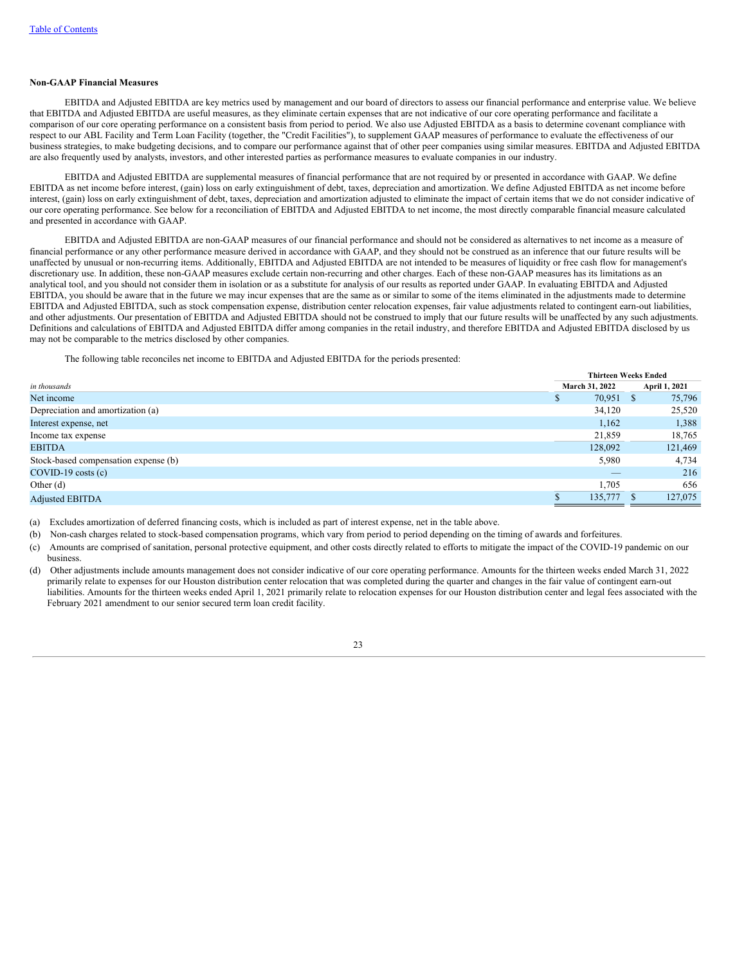### **Non-GAAP Financial Measures**

EBITDA and Adjusted EBITDA are key metrics used by management and our board of directors to assess our financial performance and enterprise value. We believe that EBITDA and Adjusted EBITDA are useful measures, as they eliminate certain expenses that are not indicative of our core operating performance and facilitate a comparison of our core operating performance on a consistent basis from period to period. We also use Adjusted EBITDA as a basis to determine covenant compliance with respect to our ABL Facility and Term Loan Facility (together, the "Credit Facilities"), to supplement GAAP measures of performance to evaluate the effectiveness of our business strategies, to make budgeting decisions, and to compare our performance against that of other peer companies using similar measures. EBITDA and Adjusted EBITDA are also frequently used by analysts, investors, and other interested parties as performance measures to evaluate companies in our industry.

EBITDA and Adjusted EBITDA are supplemental measures of financial performance that are not required by or presented in accordance with GAAP. We define EBITDA as net income before interest, (gain) loss on early extinguishment of debt, taxes, depreciation and amortization. We define Adjusted EBITDA as net income before interest, (gain) loss on early extinguishment of debt, taxes, depreciation and amortization adjusted to eliminate the impact of certain items that we do not consider indicative of our core operating performance. See below for a reconciliation of EBITDA and Adjusted EBITDA to net income, the most directly comparable financial measure calculated and presented in accordance with GAAP.

EBITDA and Adjusted EBITDA are non-GAAP measures of our financial performance and should not be considered as alternatives to net income as a measure of financial performance or any other performance measure derived in accordance with GAAP, and they should not be construed as an inference that our future results will be unaffected by unusual or non-recurring items. Additionally, EBITDA and Adjusted EBITDA are not intended to be measures of liquidity or free cash flow for management's discretionary use. In addition, these non-GAAP measures exclude certain non-recurring and other charges. Each of these non-GAAP measures has its limitations as an analytical tool, and you should not consider them in isolation or as a substitute for analysis of our results as reported under GAAP. In evaluating EBITDA and Adjusted EBITDA, you should be aware that in the future we may incur expenses that are the same as or similar to some of the items eliminated in the adjustments made to determine EBITDA and Adjusted EBITDA, such as stock compensation expense, distribution center relocation expenses, fair value adjustments related to contingent earn-out liabilities, and other adjustments. Our presentation of EBITDA and Adjusted EBITDA should not be construed to imply that our future results will be unaffected by any such adjustments. Definitions and calculations of EBITDA and Adjusted EBITDA differ among companies in the retail industry, and therefore EBITDA and Adjusted EBITDA disclosed by us may not be comparable to the metrics disclosed by other companies.

The following table reconciles net income to EBITDA and Adjusted EBITDA for the periods presented:

|                                      |                | <b>Thirteen Weeks Ended</b> |  |
|--------------------------------------|----------------|-----------------------------|--|
| in thousands                         | March 31, 2022 | April 1, 2021               |  |
| Net income                           | 70,951<br>D    | 75,796                      |  |
| Depreciation and amortization (a)    | 34,120         | 25,520                      |  |
| Interest expense, net                | 1,162          | 1,388                       |  |
| Income tax expense                   | 21,859         | 18,765                      |  |
| <b>EBITDA</b>                        | 128,092        | 121,469                     |  |
| Stock-based compensation expense (b) | 5,980          | 4,734                       |  |
| $COVID-19 \text{ costs (c)}$         | _              | 216                         |  |
| Other $(d)$                          | 1.705          | 656                         |  |
| <b>Adjusted EBITDA</b>               | 135,777        | 127,075                     |  |

(a) Excludes amortization of deferred financing costs, which is included as part of interest expense, net in the table above.

(b) Non-cash charges related to stock-based compensation programs, which vary from period to period depending on the timing of awards and forfeitures.

(c) Amounts are comprised of sanitation, personal protective equipment, and other costs directly related to efforts to mitigate the impact of the COVID-19 pandemic on our business.

(d) Other adjustments include amounts management does not consider indicative of our core operating performance. Amounts for the thirteen weeks ended March 31, 2022 primarily relate to expenses for our Houston distribution center relocation that was completed during the quarter and changes in the fair value of contingent earn-out liabilities. Amounts for the thirteen weeks ended April 1, 2021 primarily relate to relocation expenses for our Houston distribution center and legal fees associated with the February 2021 amendment to our senior secured term loan credit facility.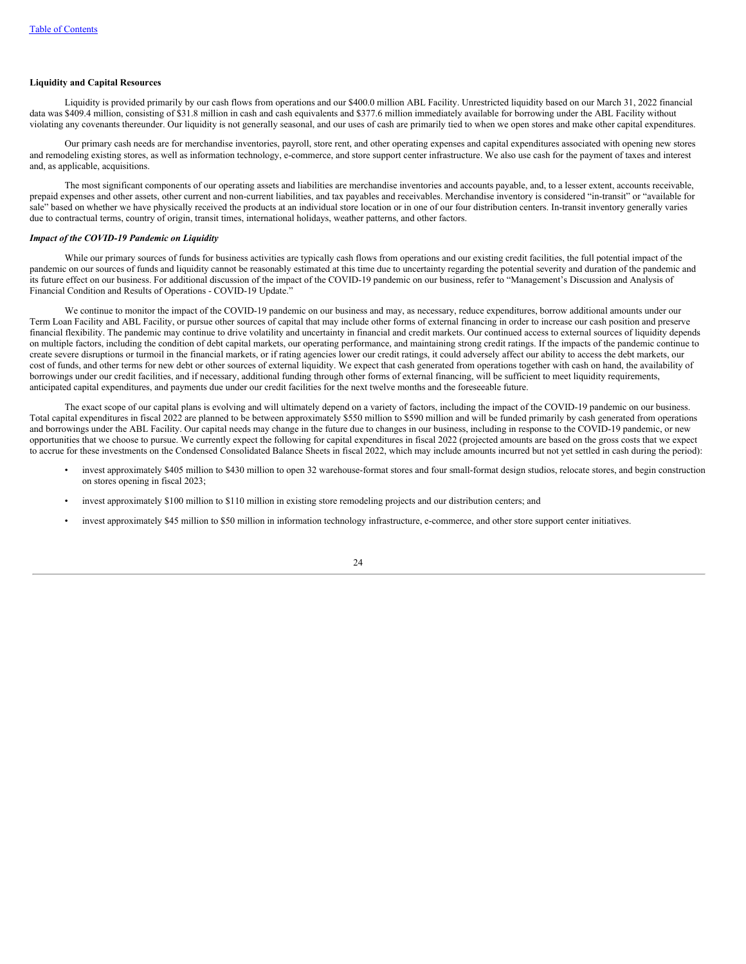#### **Liquidity and Capital Resources**

Liquidity is provided primarily by our cash flows from operations and our \$400.0 million ABL Facility. Unrestricted liquidity based on our March 31, 2022 financial data was \$409.4 million, consisting of \$31.8 million in cash and cash equivalents and \$377.6 million immediately available for borrowing under the ABL Facility without violating any covenants thereunder. Our liquidity is not generally seasonal, and our uses of cash are primarily tied to when we open stores and make other capital expenditures.

Our primary cash needs are for merchandise inventories, payroll, store rent, and other operating expenses and capital expenditures associated with opening new stores and remodeling existing stores, as well as information technology, e-commerce, and store support center infrastructure. We also use cash for the payment of taxes and interest and, as applicable, acquisitions.

The most significant components of our operating assets and liabilities are merchandise inventories and accounts payable, and, to a lesser extent, accounts receivable, prepaid expenses and other assets, other current and non-current liabilities, and tax payables and receivables. Merchandise inventory is considered "in-transit" or "available for sale" based on whether we have physically received the products at an individual store location or in one of our four distribution centers. In-transit inventory generally varies due to contractual terms, country of origin, transit times, international holidays, weather patterns, and other factors.

## *Impact of the COVID-19 Pandemic on Liquidity*

While our primary sources of funds for business activities are typically cash flows from operations and our existing credit facilities, the full potential impact of the pandemic on our sources of funds and liquidity cannot be reasonably estimated at this time due to uncertainty regarding the potential severity and duration of the pandemic and its future effect on our business. For additional discussion of the impact of the COVID-19 pandemic on our business, refer to "Management's Discussion and Analysis of Financial Condition and Results of Operations - COVID-19 Update."

We continue to monitor the impact of the COVID-19 pandemic on our business and may, as necessary, reduce expenditures, borrow additional amounts under our Term Loan Facility and ABL Facility, or pursue other sources of capital that may include other forms of external financing in order to increase our cash position and preserve financial flexibility. The pandemic may continue to drive volatility and uncertainty in financial and credit markets. Our continued access to external sources of liquidity depends on multiple factors, including the condition of debt capital markets, our operating performance, and maintaining strong credit ratings. If the impacts of the pandemic continue to create severe disruptions or turmoil in the financial markets, or if rating agencies lower our credit ratings, it could adversely affect our ability to access the debt markets, our cost of funds, and other terms for new debt or other sources of external liquidity. We expect that cash generated from operations together with cash on hand, the availability of borrowings under our credit facilities, and if necessary, additional funding through other forms of external financing, will be sufficient to meet liquidity requirements, anticipated capital expenditures, and payments due under our credit facilities for the next twelve months and the foreseeable future.

The exact scope of our capital plans is evolving and will ultimately depend on a variety of factors, including the impact of the COVID-19 pandemic on our business. Total capital expenditures in fiscal 2022 are planned to be between approximately \$550 million to \$590 million and will be funded primarily by cash generated from operations and borrowings under the ABL Facility. Our capital needs may change in the future due to changes in our business, including in response to the COVID-19 pandemic, or new opportunities that we choose to pursue. We currently expect the following for capital expenditures in fiscal 2022 (projected amounts are based on the gross costs that we expect to accrue for these investments on the Condensed Consolidated Balance Sheets in fiscal 2022, which may include amounts incurred but not yet settled in cash during the period):

- invest approximately \$405 million to \$430 million to open 32 warehouse-format stores and four small-format design studios, relocate stores, and begin construction on stores opening in fiscal 2023;
- invest approximately \$100 million to \$110 million in existing store remodeling projects and our distribution centers; and
- invest approximately \$45 million to \$50 million in information technology infrastructure, e-commerce, and other store support center initiatives.

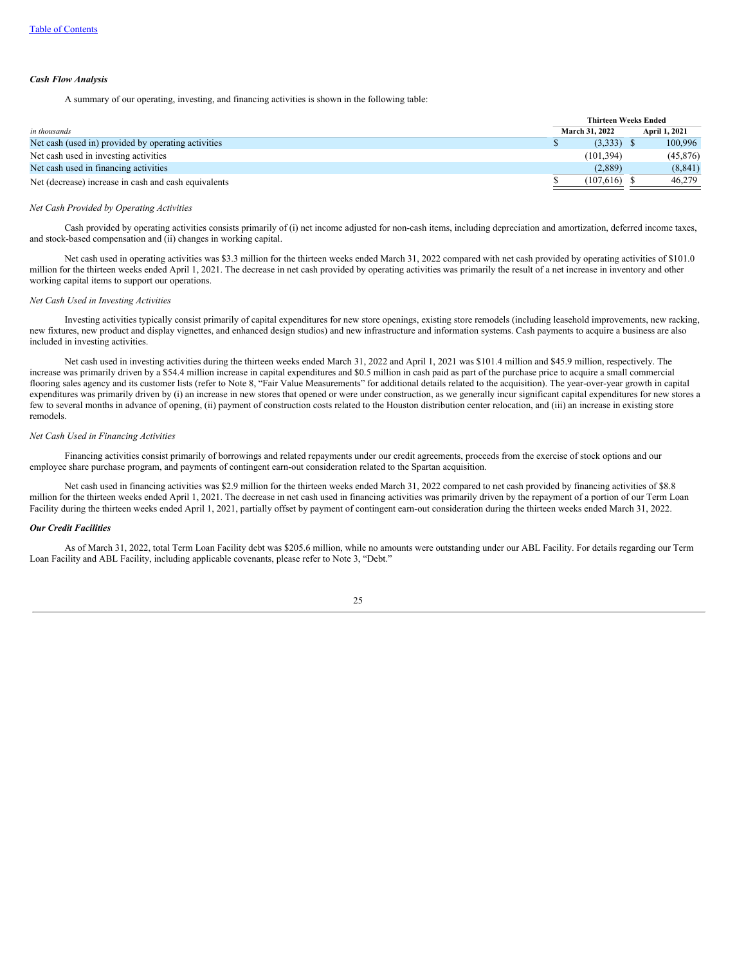# *Cash Flow Analysis*

A summary of our operating, investing, and financing activities is shown in the following table:

|                                                      | <b>Thirteen Weeks Ended</b> |                      |
|------------------------------------------------------|-----------------------------|----------------------|
| in thousands                                         | <b>March 31, 2022</b>       | <b>April 1, 2021</b> |
| Net cash (used in) provided by operating activities  | (3,333)                     | 100.996              |
| Net cash used in investing activities                | (101.394)                   | (45, 876)            |
| Net cash used in financing activities                | (2,889)                     | (8, 841)             |
| Net (decrease) increase in cash and cash equivalents | (107.616)                   | 46,279               |

# *Net Cash Provided by Operating Activities*

Cash provided by operating activities consists primarily of (i) net income adjusted for non-cash items, including depreciation and amortization, deferred income taxes, and stock-based compensation and (ii) changes in working capital.

Net cash used in operating activities was \$3.3 million for the thirteen weeks ended March 31, 2022 compared with net cash provided by operating activities of \$101.0 million for the thirteen weeks ended April 1, 2021. The decrease in net cash provided by operating activities was primarily the result of a net increase in inventory and other working capital items to support our operations.

# *Net Cash Used in Investing Activities*

Investing activities typically consist primarily of capital expenditures for new store openings, existing store remodels (including leasehold improvements, new racking, new fixtures, new product and display vignettes, and enhanced design studios) and new infrastructure and information systems. Cash payments to acquire a business are also included in investing activities.

Net cash used in investing activities during the thirteen weeks ended March 31, 2022 and April 1, 2021 was \$101.4 million and \$45.9 million, respectively. The increase was primarily driven by a \$54.4 million increase in capital expenditures and \$0.5 million in cash paid as part of the purchase price to acquire a small commercial flooring sales agency and its customer lists (refer to Note 8, "Fair Value Measurements" for additional details related to the acquisition). The year-over-year growth in capital expenditures was primarily driven by (i) an increase in new stores that opened or were under construction, as we generally incur significant capital expenditures for new stores a few to several months in advance of opening, (ii) payment of construction costs related to the Houston distribution center relocation, and (iii) an increase in existing store remodels.

#### *Net Cash Used in Financing Activities*

Financing activities consist primarily of borrowings and related repayments under our credit agreements, proceeds from the exercise of stock options and our employee share purchase program, and payments of contingent earn-out consideration related to the Spartan acquisition.

Net cash used in financing activities was \$2.9 million for the thirteen weeks ended March 31, 2022 compared to net cash provided by financing activities of \$8.8 million for the thirteen weeks ended April 1, 2021. The decrease in net cash used in financing activities was primarily driven by the repayment of a portion of our Term Loan Facility during the thirteen weeks ended April 1, 2021, partially offset by payment of contingent earn-out consideration during the thirteen weeks ended March 31, 2022.

# *Our Credit Facilities*

As of March 31, 2022, total Term Loan Facility debt was \$205.6 million, while no amounts were outstanding under our ABL Facility. For details regarding our Term Loan Facility and ABL Facility, including applicable covenants, please refer to Note 3, "Debt."

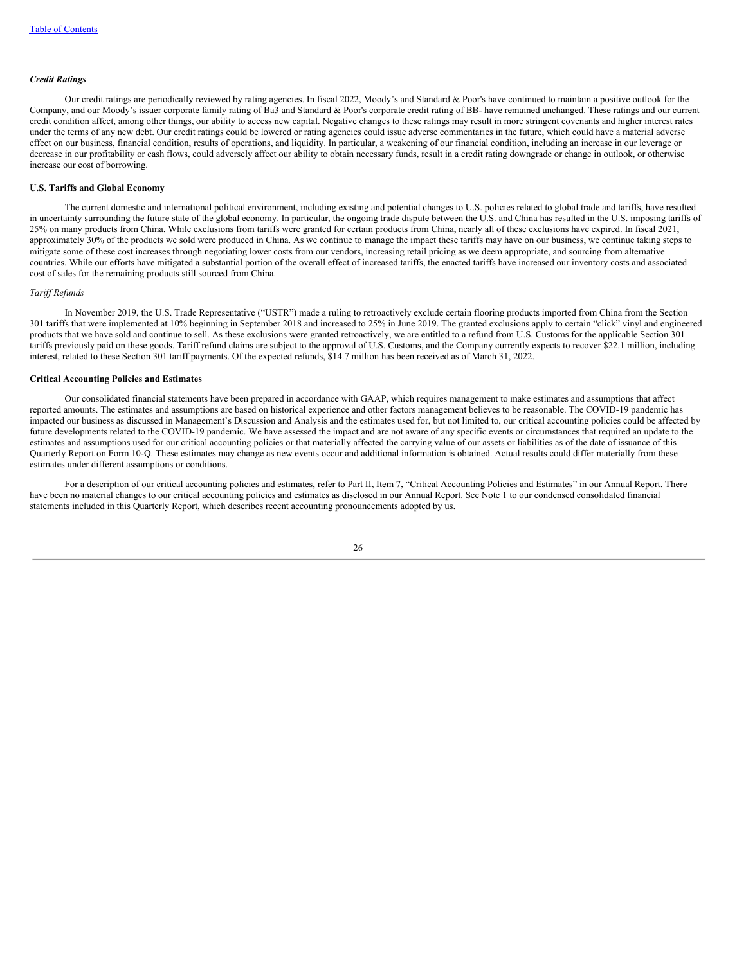# *Credit Ratings*

Our credit ratings are periodically reviewed by rating agencies. In fiscal 2022, Moody's and Standard & Poor's have continued to maintain a positive outlook for the Company, and our Moody's issuer corporate family rating of Ba3 and Standard & Poor's corporate credit rating of BB- have remained unchanged. These ratings and our current credit condition affect, among other things, our ability to access new capital. Negative changes to these ratings may result in more stringent covenants and higher interest rates under the terms of any new debt. Our credit ratings could be lowered or rating agencies could issue adverse commentaries in the future, which could have a material adverse effect on our business, financial condition, results of operations, and liquidity. In particular, a weakening of our financial condition, including an increase in our leverage or decrease in our profitability or cash flows, could adversely affect our ability to obtain necessary funds, result in a credit rating downgrade or change in outlook, or otherwise increase our cost of borrowing.

# **U.S. Tariffs and Global Economy**

The current domestic and international political environment, including existing and potential changes to U.S. policies related to global trade and tariffs, have resulted in uncertainty surrounding the future state of the global economy. In particular, the ongoing trade dispute between the U.S. and China has resulted in the U.S. imposing tariffs of 25% on many products from China. While exclusions from tariffs were granted for certain products from China, nearly all of these exclusions have expired. In fiscal 2021, approximately 30% of the products we sold were produced in China. As we continue to manage the impact these tariffs may have on our business, we continue taking steps to mitigate some of these cost increases through negotiating lower costs from our vendors, increasing retail pricing as we deem appropriate, and sourcing from alternative countries. While our efforts have mitigated a substantial portion of the overall effect of increased tariffs, the enacted tariffs have increased our inventory costs and associated cost of sales for the remaining products still sourced from China.

# *Tarif Refunds*

In November 2019, the U.S. Trade Representative ("USTR") made a ruling to retroactively exclude certain flooring products imported from China from the Section 301 tariffs that were implemented at 10% beginning in September 2018 and increased to 25% in June 2019. The granted exclusions apply to certain "click" vinyl and engineered products that we have sold and continue to sell. As these exclusions were granted retroactively, we are entitled to a refund from U.S. Customs for the applicable Section 301 tariffs previously paid on these goods. Tariff refund claims are subject to the approval of U.S. Customs, and the Company currently expects to recover \$22.1 million, including interest, related to these Section 301 tariff payments. Of the expected refunds, \$14.7 million has been received as of March 31, 2022.

# **Critical Accounting Policies and Estimates**

Our consolidated financial statements have been prepared in accordance with GAAP, which requires management to make estimates and assumptions that affect reported amounts. The estimates and assumptions are based on historical experience and other factors management believes to be reasonable. The COVID-19 pandemic has impacted our business as discussed in Management's Discussion and Analysis and the estimates used for, but not limited to, our critical accounting policies could be affected by future developments related to the COVID-19 pandemic. We have assessed the impact and are not aware of any specific events or circumstances that required an update to the estimates and assumptions used for our critical accounting policies or that materially affected the carrying value of our assets or liabilities as of the date of issuance of this Quarterly Report on Form 10-Q. These estimates may change as new events occur and additional information is obtained. Actual results could differ materially from these estimates under different assumptions or conditions.

<span id="page-25-0"></span>For a description of our critical accounting policies and estimates, refer to Part II, Item 7, "Critical Accounting Policies and Estimates" in our Annual Report. There have been no material changes to our critical accounting policies and estimates as disclosed in our Annual Report. See Note 1 to our condensed consolidated financial statements included in this Quarterly Report, which describes recent accounting pronouncements adopted by us.

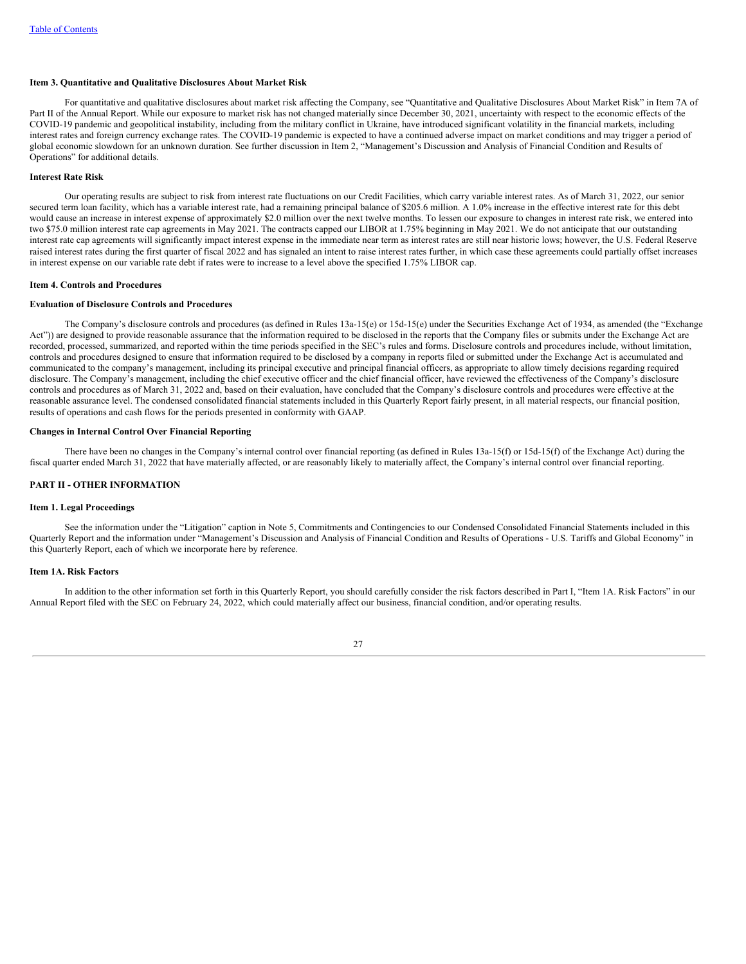## **Item 3. Quantitative and Qualitative Disclosures About Market Risk**

For quantitative and qualitative disclosures about market risk affecting the Company, see "Quantitative and Qualitative Disclosures About Market Risk" in Item 7A of Part II of the Annual Report. While our exposure to market risk has not changed materially since December 30, 2021, uncertainty with respect to the economic effects of the COVID-19 pandemic and geopolitical instability, including from the military conflict in Ukraine, have introduced significant volatility in the financial markets, including interest rates and foreign currency exchange rates. The COVID-19 pandemic is expected to have a continued adverse impact on market conditions and may trigger a period of global economic slowdown for an unknown duration. See further discussion in Item 2, "Management's Discussion and Analysis of Financial Condition and Results of Operations" for additional details.

# **Interest Rate Risk**

Our operating results are subject to risk from interest rate fluctuations on our Credit Facilities, which carry variable interest rates. As of March 31, 2022, our senior secured term loan facility, which has a variable interest rate, had a remaining principal balance of \$205.6 million. A 1.0% increase in the effective interest rate for this debt would cause an increase in interest expense of approximately \$2.0 million over the next twelve months. To lessen our exposure to changes in interest rate risk, we entered into two \$75.0 million interest rate cap agreements in May 2021. The contracts capped our LIBOR at 1.75% beginning in May 2021. We do not anticipate that our outstanding interest rate cap agreements will significantly impact interest expense in the immediate near term as interest rates are still near historic lows; however, the U.S. Federal Reserve raised interest rates during the first quarter of fiscal 2022 and has signaled an intent to raise interest rates further, in which case these agreements could partially offset increases in interest expense on our variable rate debt if rates were to increase to a level above the specified 1.75% LIBOR cap.

### <span id="page-26-0"></span>**Item 4. Controls and Procedures**

#### **Evaluation of Disclosure Controls and Procedures**

The Company's disclosure controls and procedures (as defined in Rules 13a-15(e) or 15d-15(e) under the Securities Exchange Act of 1934, as amended (the "Exchange Act")) are designed to provide reasonable assurance that the information required to be disclosed in the reports that the Company files or submits under the Exchange Act are recorded, processed, summarized, and reported within the time periods specified in the SEC's rules and forms. Disclosure controls and procedures include, without limitation, controls and procedures designed to ensure that information required to be disclosed by a company in reports filed or submitted under the Exchange Act is accumulated and communicated to the company's management, including its principal executive and principal financial officers, as appropriate to allow timely decisions regarding required disclosure. The Company's management, including the chief executive officer and the chief financial officer, have reviewed the effectiveness of the Company's disclosure controls and procedures as of March 31, 2022 and, based on their evaluation, have concluded that the Company's disclosure controls and procedures were effective at the reasonable assurance level. The condensed consolidated financial statements included in this Quarterly Report fairly present, in all material respects, our financial position, results of operations and cash flows for the periods presented in conformity with GAAP.

# **Changes in Internal Control Over Financial Reporting**

There have been no changes in the Company's internal control over financial reporting (as defined in Rules 13a-15(f) or 15d-15(f) of the Exchange Act) during the fiscal quarter ended March 31, 2022 that have materially affected, or are reasonably likely to materially affect, the Company's internal control over financial reporting.

### <span id="page-26-2"></span><span id="page-26-1"></span>**PART II - OTHER INFORMATION**

# **Item 1. Legal Proceedings**

See the information under the "Litigation" caption in Note 5, Commitments and Contingencies to our Condensed Consolidated Financial Statements included in this Quarterly Report and the information under "Management's Discussion and Analysis of Financial Condition and Results of Operations - U.S. Tariffs and Global Economy" in this Quarterly Report, each of which we incorporate here by reference.

# <span id="page-26-3"></span>**Item 1A. Risk Factors**

<span id="page-26-4"></span>In addition to the other information set forth in this Quarterly Report, you should carefully consider the risk factors described in Part I, "Item 1A. Risk Factors" in our Annual Report filed with the SEC on February 24, 2022, which could materially affect our business, financial condition, and/or operating results.

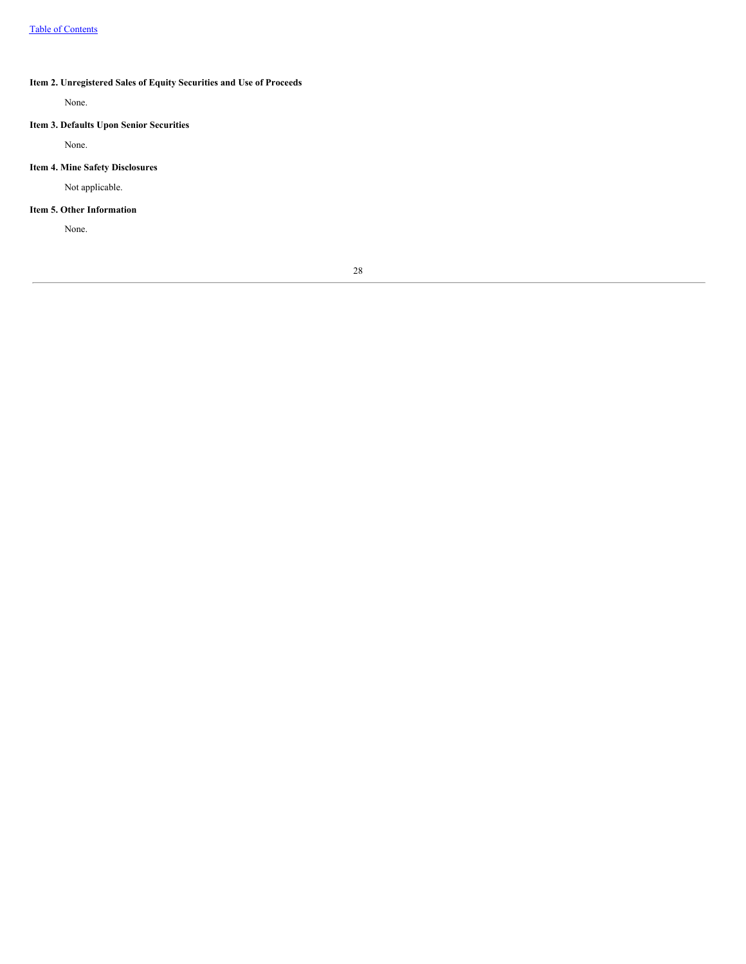# **Item 2. Unregistered Sales of Equity Securities and Use of Proceeds**

None.

# <span id="page-27-0"></span>**Item 3. Defaults Upon Senior Securities**

None.

# <span id="page-27-1"></span>**Item 4. Mine Safety Disclosures**

Not applicable.

# <span id="page-27-2"></span>**Item 5. Other Information**

<span id="page-27-3"></span>None.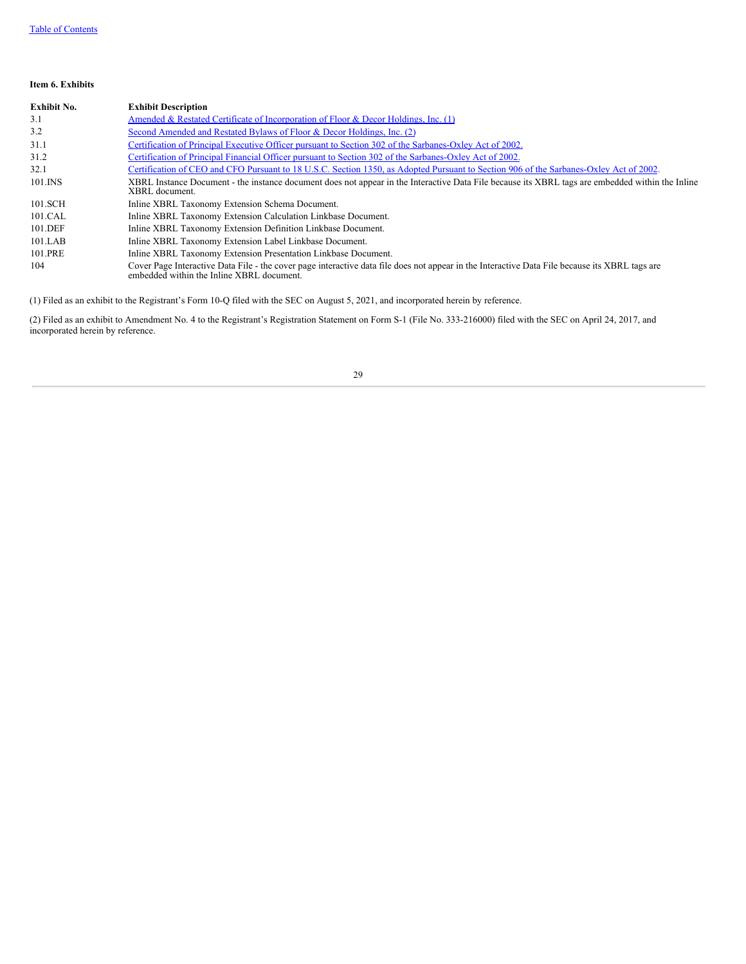# **Item 6. Exhibits**

| <b>Exhibit No.</b> | <b>Exhibit Description</b>                                                                                                                                                                  |
|--------------------|---------------------------------------------------------------------------------------------------------------------------------------------------------------------------------------------|
| 3.1                | Amended & Restated Certificate of Incorporation of Floor & Decor Holdings, Inc. $(1)$                                                                                                       |
| 3.2                | Second Amended and Restated Bylaws of Floor & Decor Holdings, Inc. (2)                                                                                                                      |
| 31.1               | Certification of Principal Executive Officer pursuant to Section 302 of the Sarbanes-Oxley Act of 2002.                                                                                     |
| 31.2               | Certification of Principal Financial Officer pursuant to Section 302 of the Sarbanes-Oxley Act of 2002.                                                                                     |
| 32.1               | Certification of CEO and CFO Pursuant to 18 U.S.C. Section 1350, as Adopted Pursuant to Section 906 of the Sarbanes-Oxley Act of 2002.                                                      |
| 101.INS            | XBRL Instance Document - the instance document does not appear in the Interactive Data File because its XBRL tags are embedded within the Inline<br>XBRL document.                          |
| 101.SCH            | Inline XBRL Taxonomy Extension Schema Document.                                                                                                                                             |
| 101.CAL            | Inline XBRL Taxonomy Extension Calculation Linkbase Document.                                                                                                                               |
| 101.DEF            | Inline XBRL Taxonomy Extension Definition Linkbase Document.                                                                                                                                |
| 101.LAB            | Inline XBRL Taxonomy Extension Label Linkbase Document.                                                                                                                                     |
| 101.PRE            | Inline XBRL Taxonomy Extension Presentation Linkbase Document.                                                                                                                              |
| 104                | Cover Page Interactive Data File - the cover page interactive data file does not appear in the Interactive Data File because its XBRL tags are<br>embedded within the Inline XBRL document. |

(1) Filed as an exhibit to the Registrant's Form 10-Q filed with the SEC on August 5, 2021, and incorporated herein by reference.

<span id="page-28-0"></span>(2) Filed as an exhibit to Amendment No. 4 to the Registrant's Registration Statement on Form S-1 (File No. 333-216000) filed with the SEC on April 24, 2017, and incorporated herein by reference.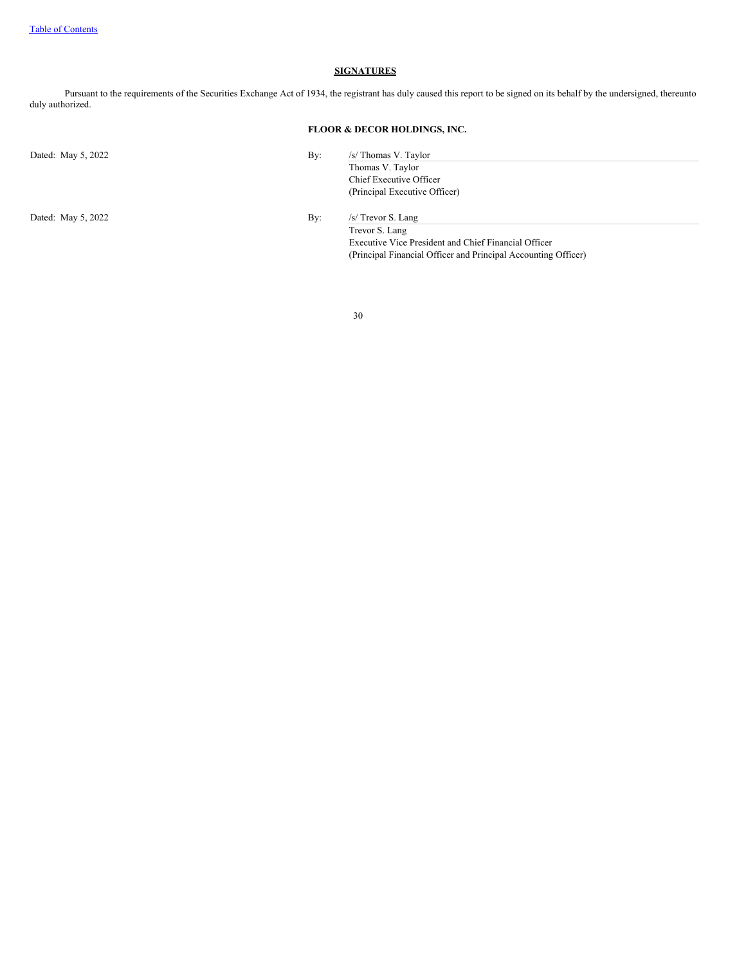# **SIGNATURES**

Pursuant to the requirements of the Securities Exchange Act of 1934, the registrant has duly caused this report to be signed on its behalf by the undersigned, thereunto duly authorized.

# **FLOOR & DECOR HOLDINGS, INC.**

| Dated: May 5, 2022 | By: | /s/ Thomas V. Taylor<br>Thomas V. Taylor<br>Chief Executive Officer<br>(Principal Executive Officer)                                                             |
|--------------------|-----|------------------------------------------------------------------------------------------------------------------------------------------------------------------|
| Dated: May 5, 2022 | By: | $/s/$ Trevor S. Lang<br>Trevor S. Lang<br>Executive Vice President and Chief Financial Officer<br>(Principal Financial Officer and Principal Accounting Officer) |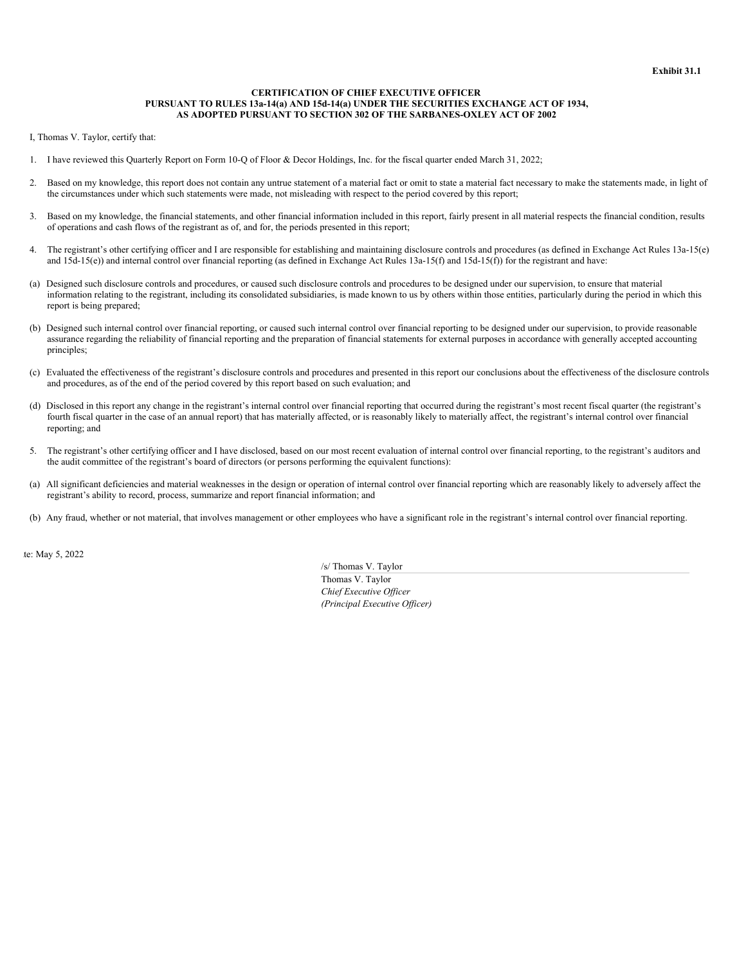# **CERTIFICATION OF CHIEF EXECUTIVE OFFICER PURSUANT TO RULES 13a-14(a) AND 15d-14(a) UNDER THE SECURITIES EXCHANGE ACT OF 1934, AS ADOPTED PURSUANT TO SECTION 302 OF THE SARBANES-OXLEY ACT OF 2002**

<span id="page-30-0"></span>I, Thomas V. Taylor, certify that:

- 1. I have reviewed this Quarterly Report on Form 10-Q of Floor & Decor Holdings, Inc. for the fiscal quarter ended March 31, 2022;
- Based on my knowledge, this report does not contain any untrue statement of a material fact or omit to state a material fact necessary to make the statements made, in light of the circumstances under which such statements were made, not misleading with respect to the period covered by this report;
- 3. Based on my knowledge, the financial statements, and other financial information included in this report, fairly present in all material respects the financial condition, results of operations and cash flows of the registrant as of, and for, the periods presented in this report;
- 4. The registrant's other certifying officer and I are responsible for establishing and maintaining disclosure controls and procedures (as defined in Exchange Act Rules 13a-15(e) and  $15d-15(e)$ ) and internal control over financial reporting (as defined in Exchange Act Rules  $13a-15(f)$  and  $15d-15(f)$ ) for the registrant and have:
- (a) Designed such disclosure controls and procedures, or caused such disclosure controls and procedures to be designed under our supervision, to ensure that material information relating to the registrant, including its consolidated subsidiaries, is made known to us by others within those entities, particularly during the period in which this report is being prepared;
- (b) Designed such internal control over financial reporting, or caused such internal control over financial reporting to be designed under our supervision, to provide reasonable assurance regarding the reliability of financial reporting and the preparation of financial statements for external purposes in accordance with generally accepted accounting principles;
- (c) Evaluated the effectiveness of the registrant's disclosure controls and procedures and presented in this report our conclusions about the effectiveness of the disclosure controls and procedures, as of the end of the period covered by this report based on such evaluation; and
- (d) Disclosed in this report any change in the registrant's internal control over financial reporting that occurred during the registrant's most recent fiscal quarter (the registrant's fourth fiscal quarter in the case of an annual report) that has materially affected, or is reasonably likely to materially affect, the registrant's internal control over financial reporting; and
- 5. The registrant's other certifying officer and I have disclosed, based on our most recent evaluation of internal control over financial reporting, to the registrant's auditors and the audit committee of the registrant's board of directors (or persons performing the equivalent functions):
- (a) All significant deficiencies and material weaknesses in the design or operation of internal control over financial reporting which are reasonably likely to adversely affect the registrant's ability to record, process, summarize and report financial information; and
- (b) Any fraud, whether or not material, that involves management or other employees who have a significant role in the registrant's internal control over financial reporting.

te: May 5, 2022

/s/ Thomas V. Taylor Thomas V. Taylor *Chief Executive Of icer*

*(Principal Executive Of icer)*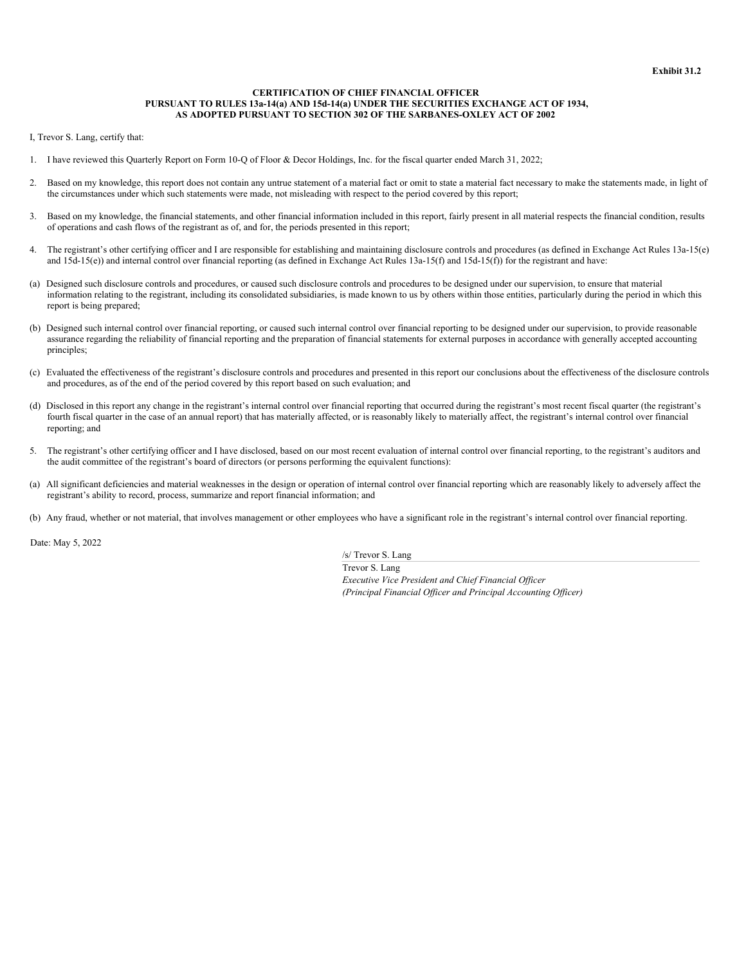# **CERTIFICATION OF CHIEF FINANCIAL OFFICER PURSUANT TO RULES 13a-14(a) AND 15d-14(a) UNDER THE SECURITIES EXCHANGE ACT OF 1934, AS ADOPTED PURSUANT TO SECTION 302 OF THE SARBANES-OXLEY ACT OF 2002**

<span id="page-31-0"></span>I, Trevor S. Lang, certify that:

- 1. I have reviewed this Quarterly Report on Form 10-Q of Floor & Decor Holdings, Inc. for the fiscal quarter ended March 31, 2022;
- Based on my knowledge, this report does not contain any untrue statement of a material fact or omit to state a material fact necessary to make the statements made, in light of the circumstances under which such statements were made, not misleading with respect to the period covered by this report;
- 3. Based on my knowledge, the financial statements, and other financial information included in this report, fairly present in all material respects the financial condition, results of operations and cash flows of the registrant as of, and for, the periods presented in this report;
- 4. The registrant's other certifying officer and I are responsible for establishing and maintaining disclosure controls and procedures (as defined in Exchange Act Rules 13a-15(e) and  $15d-15(e)$ ) and internal control over financial reporting (as defined in Exchange Act Rules  $13a-15(f)$  and  $15d-15(f)$ ) for the registrant and have:
- (a) Designed such disclosure controls and procedures, or caused such disclosure controls and procedures to be designed under our supervision, to ensure that material information relating to the registrant, including its consolidated subsidiaries, is made known to us by others within those entities, particularly during the period in which this report is being prepared;
- (b) Designed such internal control over financial reporting, or caused such internal control over financial reporting to be designed under our supervision, to provide reasonable assurance regarding the reliability of financial reporting and the preparation of financial statements for external purposes in accordance with generally accepted accounting principles;
- (c) Evaluated the effectiveness of the registrant's disclosure controls and procedures and presented in this report our conclusions about the effectiveness of the disclosure controls and procedures, as of the end of the period covered by this report based on such evaluation; and
- (d) Disclosed in this report any change in the registrant's internal control over financial reporting that occurred during the registrant's most recent fiscal quarter (the registrant's fourth fiscal quarter in the case of an annual report) that has materially affected, or is reasonably likely to materially affect, the registrant's internal control over financial reporting; and
- 5. The registrant's other certifying officer and I have disclosed, based on our most recent evaluation of internal control over financial reporting, to the registrant's auditors and the audit committee of the registrant's board of directors (or persons performing the equivalent functions):
- (a) All significant deficiencies and material weaknesses in the design or operation of internal control over financial reporting which are reasonably likely to adversely affect the registrant's ability to record, process, summarize and report financial information; and
- (b) Any fraud, whether or not material, that involves management or other employees who have a significant role in the registrant's internal control over financial reporting.

Date: May 5, 2022

/s/ Trevor S. Lang

Trevor S. Lang *Executive Vice President and Chief Financial Of icer (Principal Financial Of icer and Principal Accounting Of icer)*